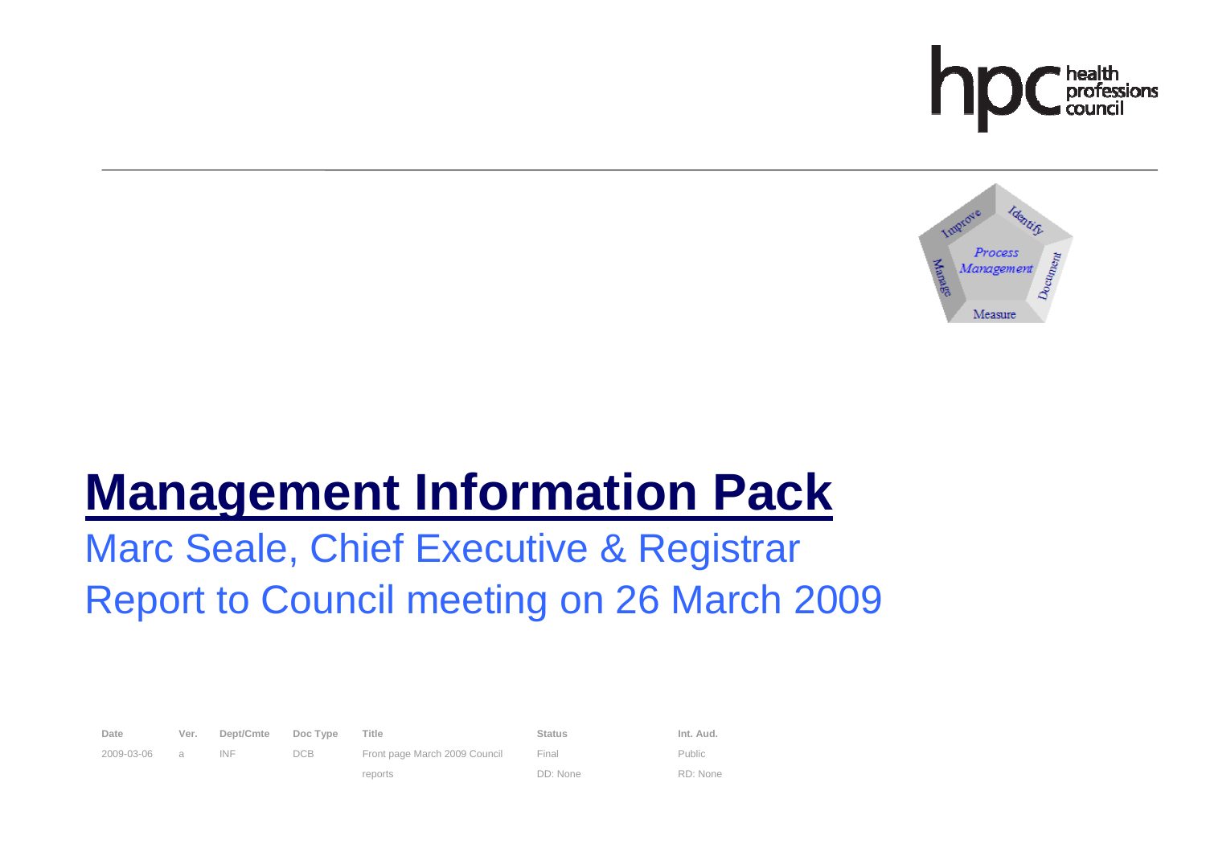



# **Management Information Pack**

# Marc Seale, Chief Executive & Registrar Report to Council meeting on 26 March 2009

| Date       | Ver. | Dept/Cmte | Doc Type | Title                         | <b>Status</b> | Int. Aud.     |
|------------|------|-----------|----------|-------------------------------|---------------|---------------|
| 2009-03-06 | a    | INF       | DCB.     | Front page March 2009 Council | Final         | <b>Public</b> |
|            |      |           |          | reports                       | DD: None      | RD: None      |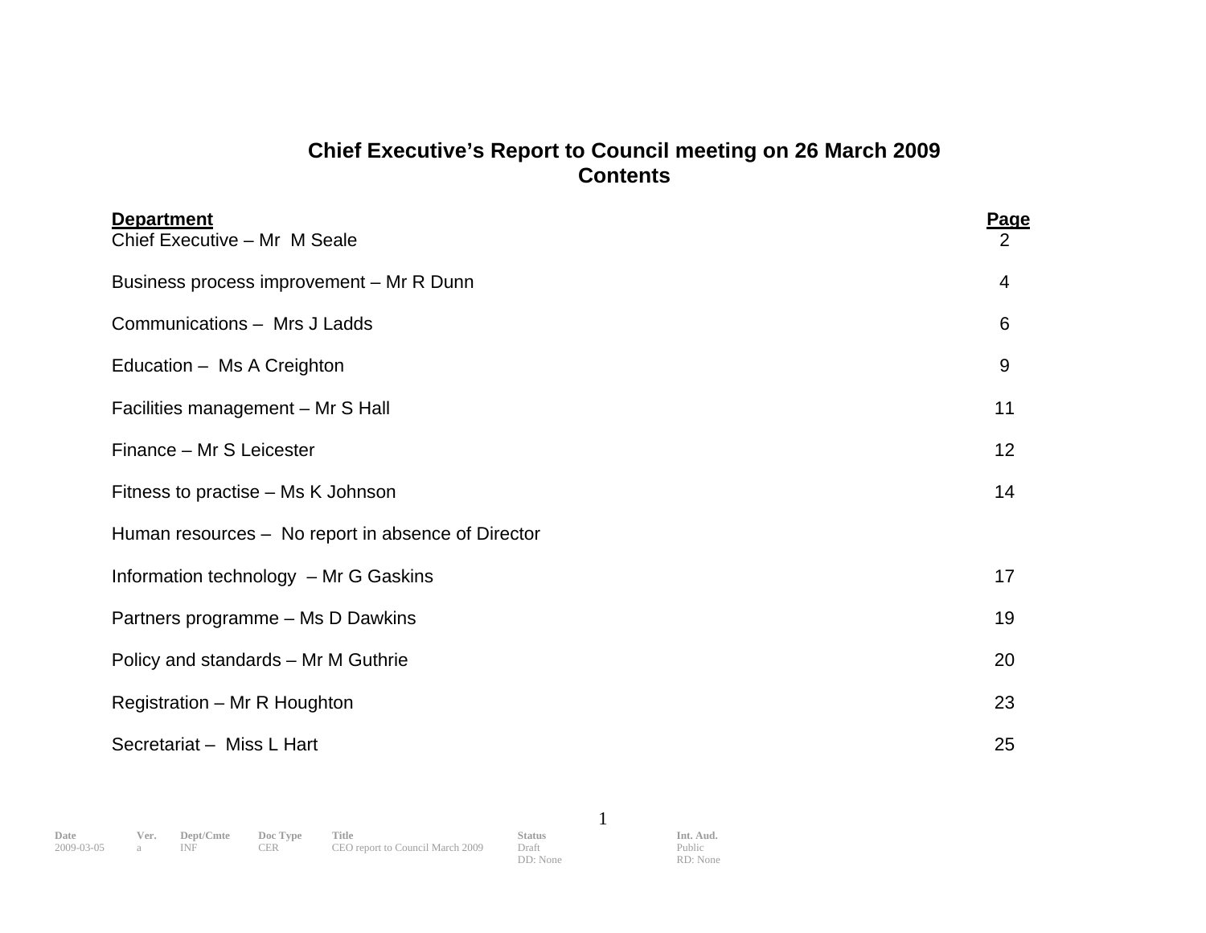# **Chief Executive's Report to Council meeting on 26 March 2009 Contents**

| <b>Department</b><br>Chief Executive - Mr M Seale  | Page<br>2 |
|----------------------------------------------------|-----------|
| Business process improvement - Mr R Dunn           | 4         |
| Communications - Mrs J Ladds                       | 6         |
| Education - Ms A Creighton                         | 9         |
| Facilities management - Mr S Hall                  | 11        |
| Finance - Mr S Leicester                           | 12        |
| Fitness to practise – Ms K Johnson                 | 14        |
| Human resources – No report in absence of Director |           |
| Information technology - Mr G Gaskins              | 17        |
| Partners programme - Ms D Dawkins                  | 19        |
| Policy and standards - Mr M Guthrie                | 20        |
| Registration - Mr R Houghton                       | 23        |
| Secretariat - Miss L Hart                          | 25        |

DD: None

1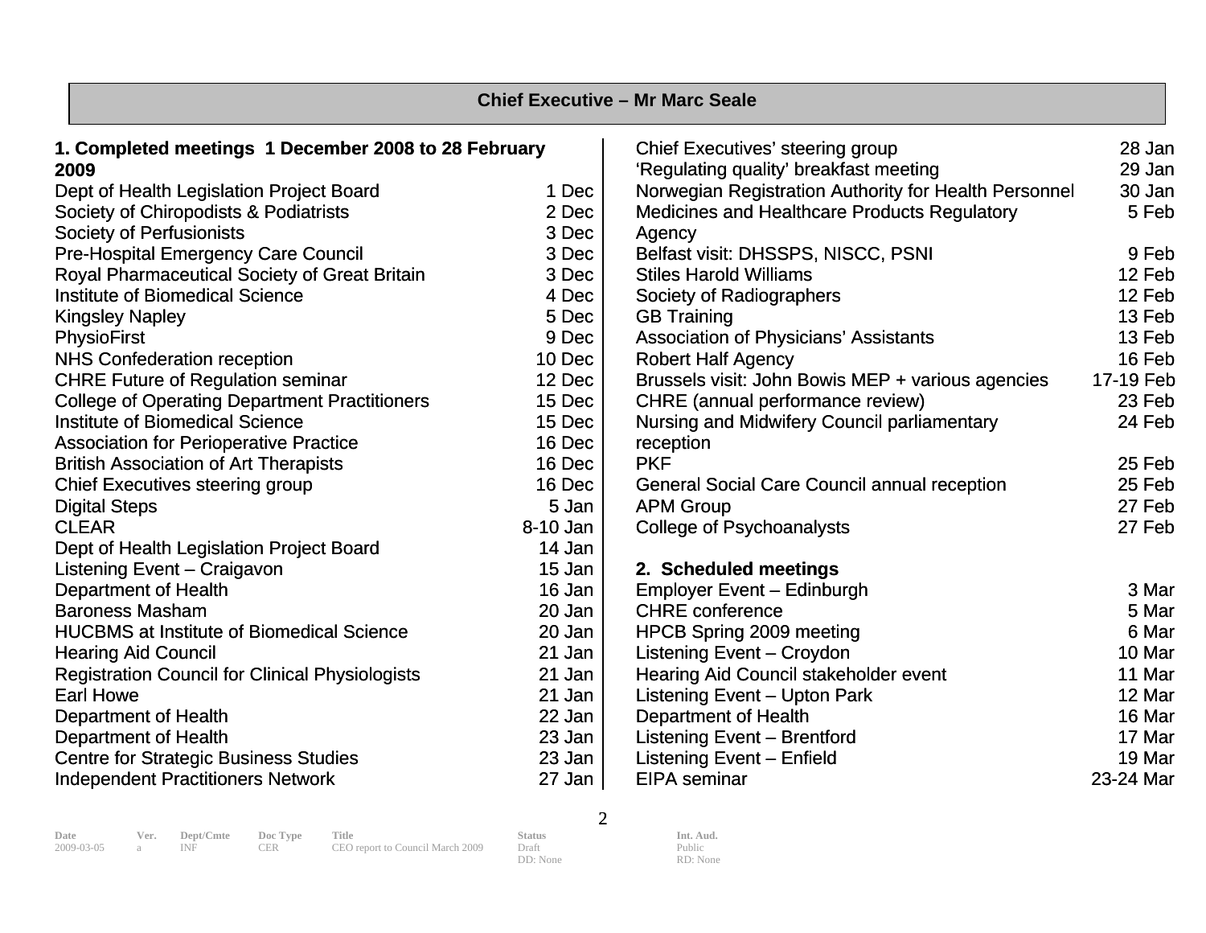| <b>Chief Executive - Mr Marc Seale</b>                 |          |                                                       |           |  |  |  |
|--------------------------------------------------------|----------|-------------------------------------------------------|-----------|--|--|--|
| 1. Completed meetings 1 December 2008 to 28 February   |          | <b>Chief Executives' steering group</b>               | 28 Jan    |  |  |  |
| 2009                                                   |          | 'Regulating quality' breakfast meeting                | 29 Jan    |  |  |  |
| Dept of Health Legislation Project Board               | 1 Dec    | Norwegian Registration Authority for Health Personnel | 30 Jan    |  |  |  |
| Society of Chiropodists & Podiatrists                  | 2 Dec    | <b>Medicines and Healthcare Products Regulatory</b>   | 5 Feb     |  |  |  |
| <b>Society of Perfusionists</b>                        | 3 Dec    | Agency                                                |           |  |  |  |
| <b>Pre-Hospital Emergency Care Council</b>             | 3 Dec    | Belfast visit: DHSSPS, NISCC, PSNI                    | 9 Feb     |  |  |  |
| Royal Pharmaceutical Society of Great Britain          | 3 Dec    | <b>Stiles Harold Williams</b>                         | 12 Feb    |  |  |  |
| <b>Institute of Biomedical Science</b>                 | 4 Dec    | Society of Radiographers                              | 12 Feb    |  |  |  |
| <b>Kingsley Napley</b>                                 | 5 Dec    | <b>GB Training</b>                                    | 13 Feb    |  |  |  |
| <b>PhysioFirst</b>                                     | 9 Dec    | <b>Association of Physicians' Assistants</b>          | 13 Feb    |  |  |  |
| <b>NHS Confederation reception</b>                     | 10 Dec   | <b>Robert Half Agency</b>                             | 16 Feb    |  |  |  |
| <b>CHRE Future of Regulation seminar</b>               | 12 Dec   | Brussels visit: John Bowis MEP + various agencies     | 17-19 Feb |  |  |  |
| <b>College of Operating Department Practitioners</b>   | 15 Dec   | CHRE (annual performance review)                      | 23 Feb    |  |  |  |
| <b>Institute of Biomedical Science</b>                 | 15 Dec   | Nursing and Midwifery Council parliamentary           | 24 Feb    |  |  |  |
| <b>Association for Perioperative Practice</b>          | 16 Dec   | reception                                             |           |  |  |  |
| <b>British Association of Art Therapists</b>           | 16 Dec   | <b>PKF</b>                                            | 25 Feb    |  |  |  |
| <b>Chief Executives steering group</b>                 | 16 Dec   | <b>General Social Care Council annual reception</b>   | 25 Feb    |  |  |  |
| <b>Digital Steps</b>                                   | 5 Jan    | <b>APM Group</b>                                      | 27 Feb    |  |  |  |
| <b>CLEAR</b>                                           | 8-10 Jan | <b>College of Psychoanalysts</b>                      | 27 Feb    |  |  |  |
| Dept of Health Legislation Project Board               | 14 Jan   |                                                       |           |  |  |  |
| <b>Listening Event - Craigavon</b>                     | 15 Jan   | 2. Scheduled meetings                                 |           |  |  |  |
| <b>Department of Health</b>                            | 16 Jan   | <b>Employer Event - Edinburgh</b>                     | 3 Mar     |  |  |  |
| <b>Baroness Masham</b>                                 | 20 Jan   | <b>CHRE</b> conference                                | 5 Mar     |  |  |  |
| <b>HUCBMS at Institute of Biomedical Science</b>       | 20 Jan   | <b>HPCB Spring 2009 meeting</b>                       | 6 Mar     |  |  |  |
| <b>Hearing Aid Council</b>                             | 21 Jan   | Listening Event - Croydon                             | 10 Mar    |  |  |  |
| <b>Registration Council for Clinical Physiologists</b> | 21 Jan   | Hearing Aid Council stakeholder event                 | 11 Mar    |  |  |  |
| <b>Earl Howe</b>                                       | 21 Jan   | <b>Listening Event - Upton Park</b>                   | 12 Mar    |  |  |  |
| <b>Department of Health</b>                            | 22 Jan   | <b>Department of Health</b>                           | 16 Mar    |  |  |  |
| <b>Department of Health</b>                            | 23 Jan   | <b>Listening Event - Brentford</b>                    | 17 Mar    |  |  |  |
| <b>Centre for Strategic Business Studies</b>           | 23 Jan   | Listening Event - Enfield                             | 19 Mar    |  |  |  |
| <b>Independent Practitioners Network</b>               | 27 Jan   | <b>EIPA</b> seminar                                   | 23-24 Mar |  |  |  |

2

DD: None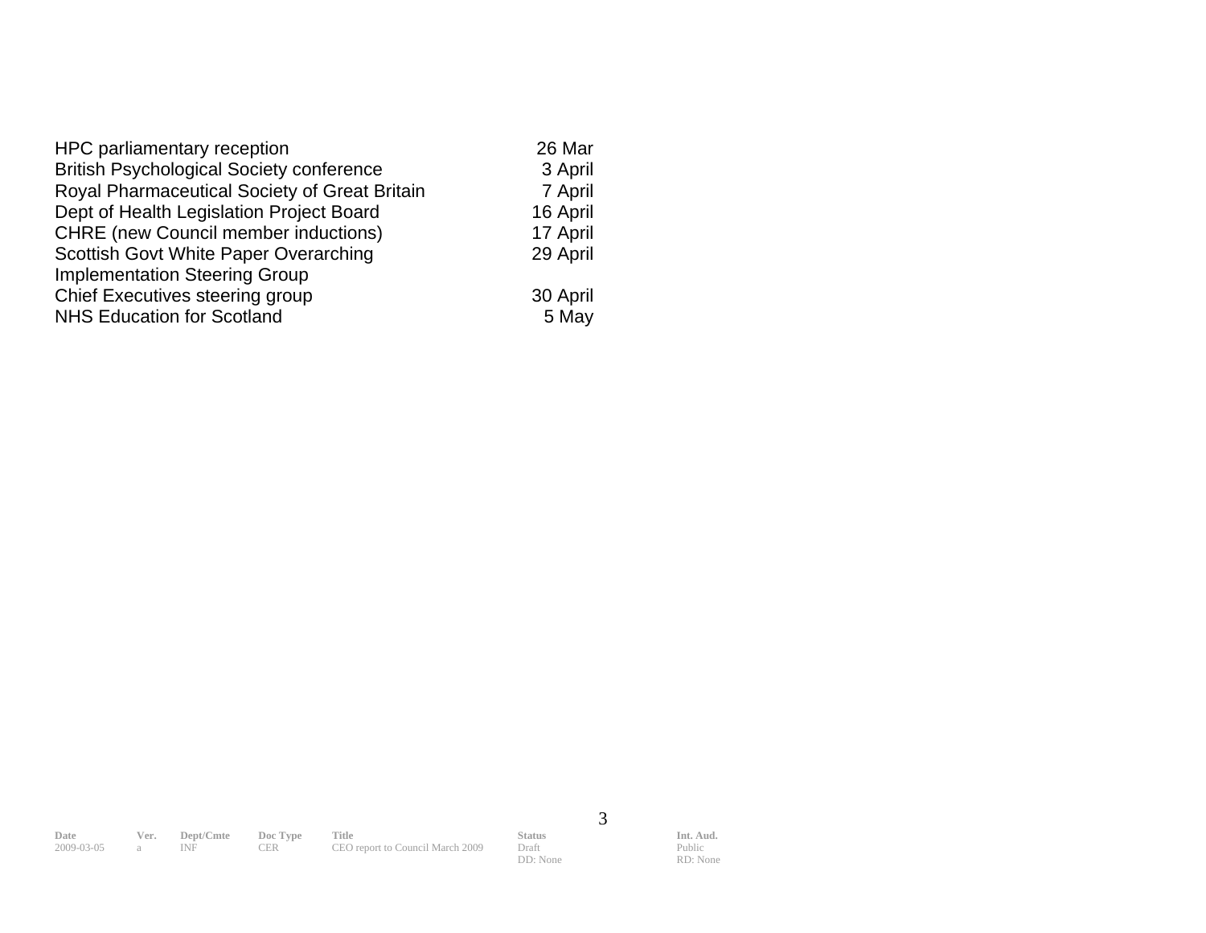| HPC parliamentary reception                     | 26 Mar   |
|-------------------------------------------------|----------|
| <b>British Psychological Society conference</b> | 3 April  |
| Royal Pharmaceutical Society of Great Britain   | 7 April  |
| Dept of Health Legislation Project Board        | 16 April |
| <b>CHRE</b> (new Council member inductions)     | 17 April |
| Scottish Govt White Paper Overarching           | 29 April |
| <b>Implementation Steering Group</b>            |          |
| Chief Executives steering group                 | 30 April |
| <b>NHS Education for Scotland</b>               | 5 May    |

**Date Ver. Dept/Cmte Doc Type Title Status Status Int. Aud.** 2009-03-05 a INF CER CEO report to Council March 2009 Draft Public CEO report to Council March 2009

3

DD: None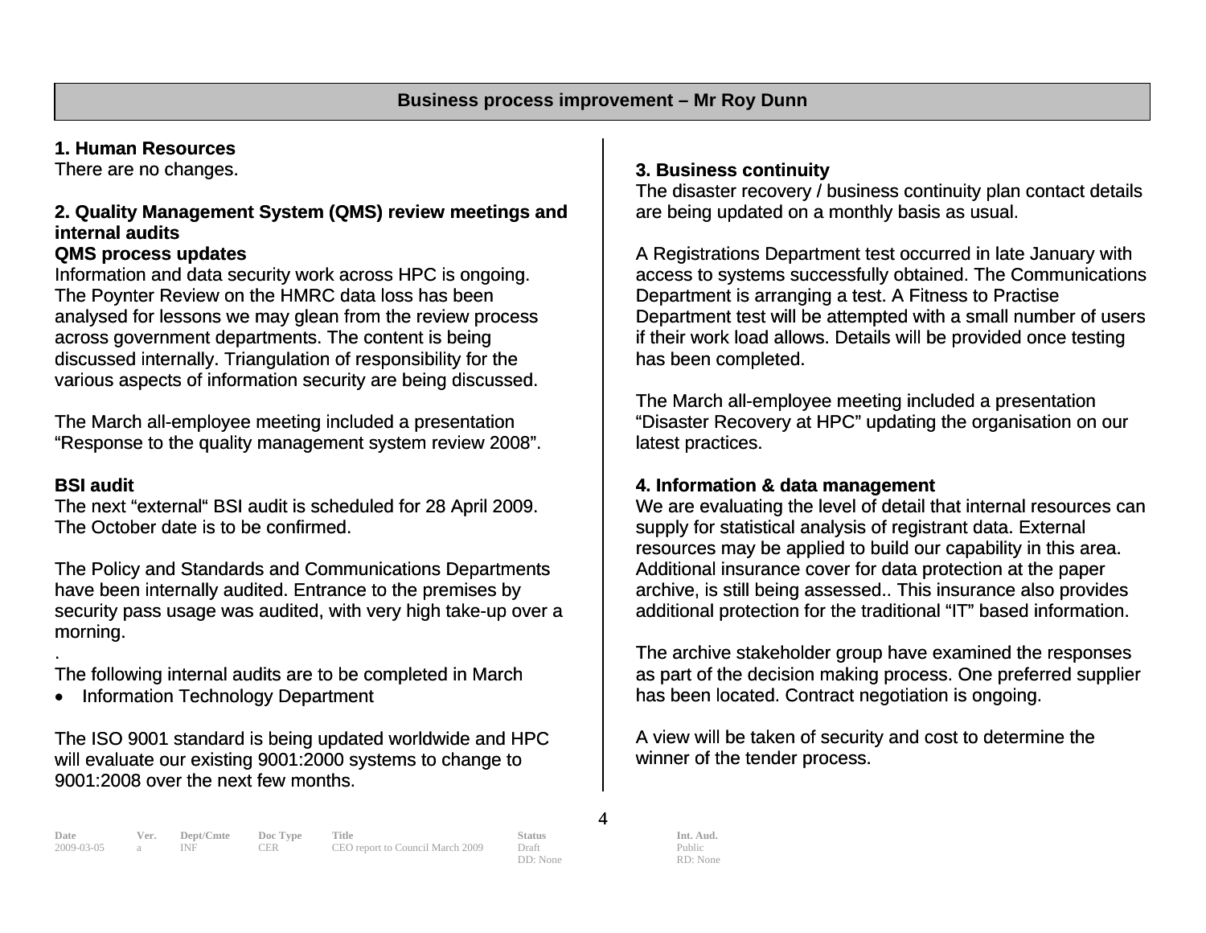# **1. Human Resources**

There are no changes.

#### **2. Quality Management System (QMS) review meetings and internal audits**

#### **QMS process updates**

Information and data security work across HPC is ongoing. The Poynter Review on the HMRC data loss has been analysed for lessons we may glean from the review process across government departments. The content is being discussed internally. Triangulation of responsibility for the various aspects of information security are being discussed.

The March all-employee meeting included a presentation "Response to the quality management system review 2008".

#### **BSI audit**

.

The next "external" BSI audit is scheduled for 28 April 2009. The October date is to be confirmed.

The Policy and Standards and Communications Departments have been internally audited. Entrance to the premises by security pass usage was audited, with very high take-up over a morning.

The following internal audits are to be completed in March

• Information Technology Department

The ISO 9001 standard is being updated worldwide and HPC will evaluate our existing 9001:2000 systems to change to 9001:2008 over the next few months.

# **3. Business continuity**

The disaster recovery / business continuity plan contact details are being updated on a monthly basis as usual.

A Registrations Department test occurred in late January with access to systems successfully obtained. The Communications Department is arranging a test. A Fitness to Practise Department test will be attempted with a small number of users if their work load allows. Details will be provided once testing has been completed.

The March all-employee meeting included a presentation "Disaster Recovery at HPC" updating the organisation on our latest practices.

#### **4. Information & data management**

We are evaluating the level of detail that internal resources can supply for statistical analysis of registrant data. External resources may be applied to build our capability in this area. Additional insurance cover for data protection at the paper archive, is still being assessed.. This insurance also provides additional protection for the traditional "IT" based information.

The archive stakeholder group have examined the responses as part of the decision making process. One preferred supplier has been located. Contract negotiation is ongoing.

A view will be taken of security and cost to determine the winner of the tender process.

**Date Ver. Dept/Cmte Doc Type Title Status Status Int. Aud.** 2009-03-05 a INF CER CEO report to Council March 2009 Draft Public Public CEO report to Council March 2009 Draft

4

DD: None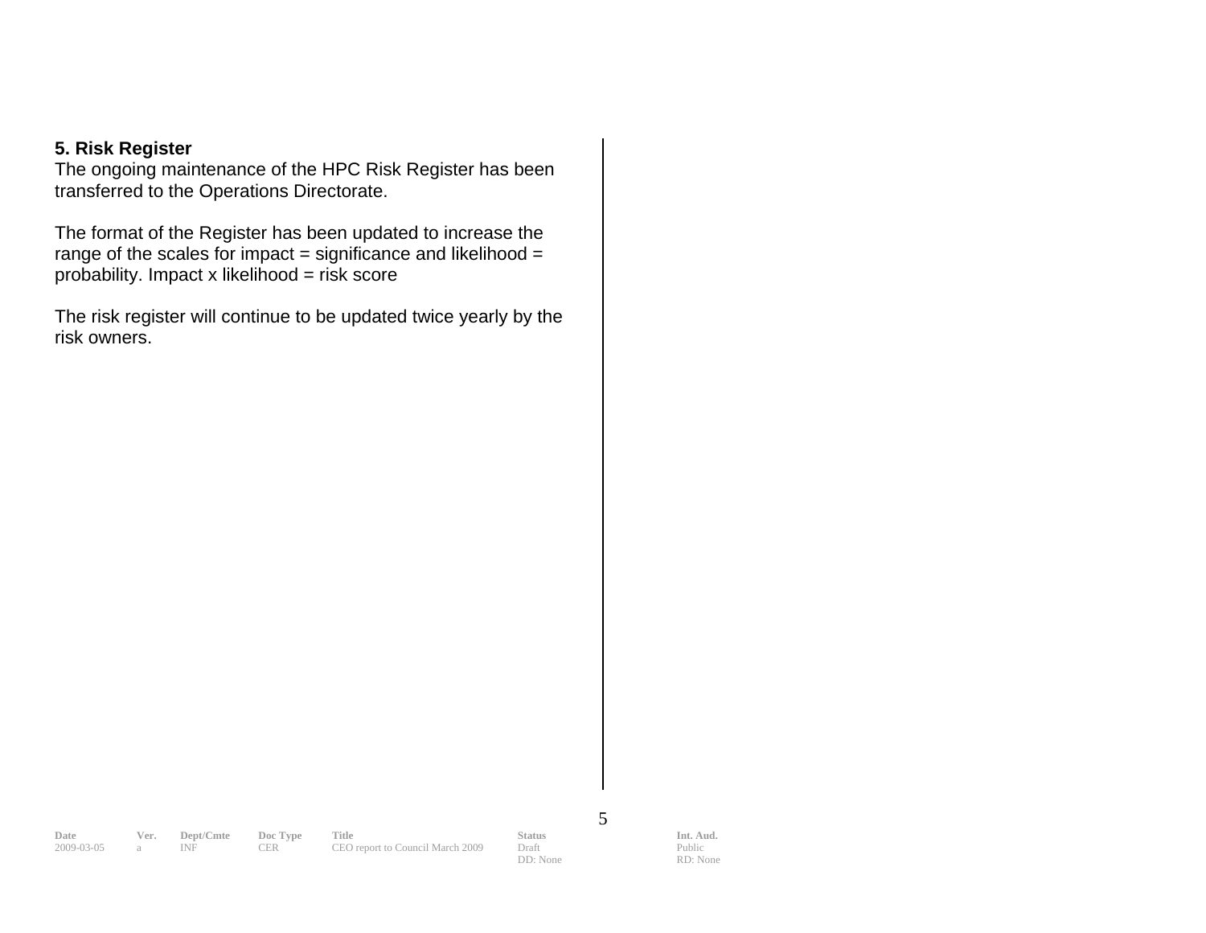#### **5. Risk Register**

The ongoing maintenance of the HPC Risk Register has been transferred to the Operations Directorate.

The format of the Register has been updated to increase the range of the scales for impact = significance and likelihood =  $probability.$  Impact x likelihood = risk score

The risk register will continue to be updated twice yearly by the risk owners.

2009-03-05 a INF

**Date Ver. Dept/Cmte Doc Type Title Status Status Int. Aud.** 2009-03-05 a INF CER CEO report to Council March 2009 Draft Public Public

DD: None

5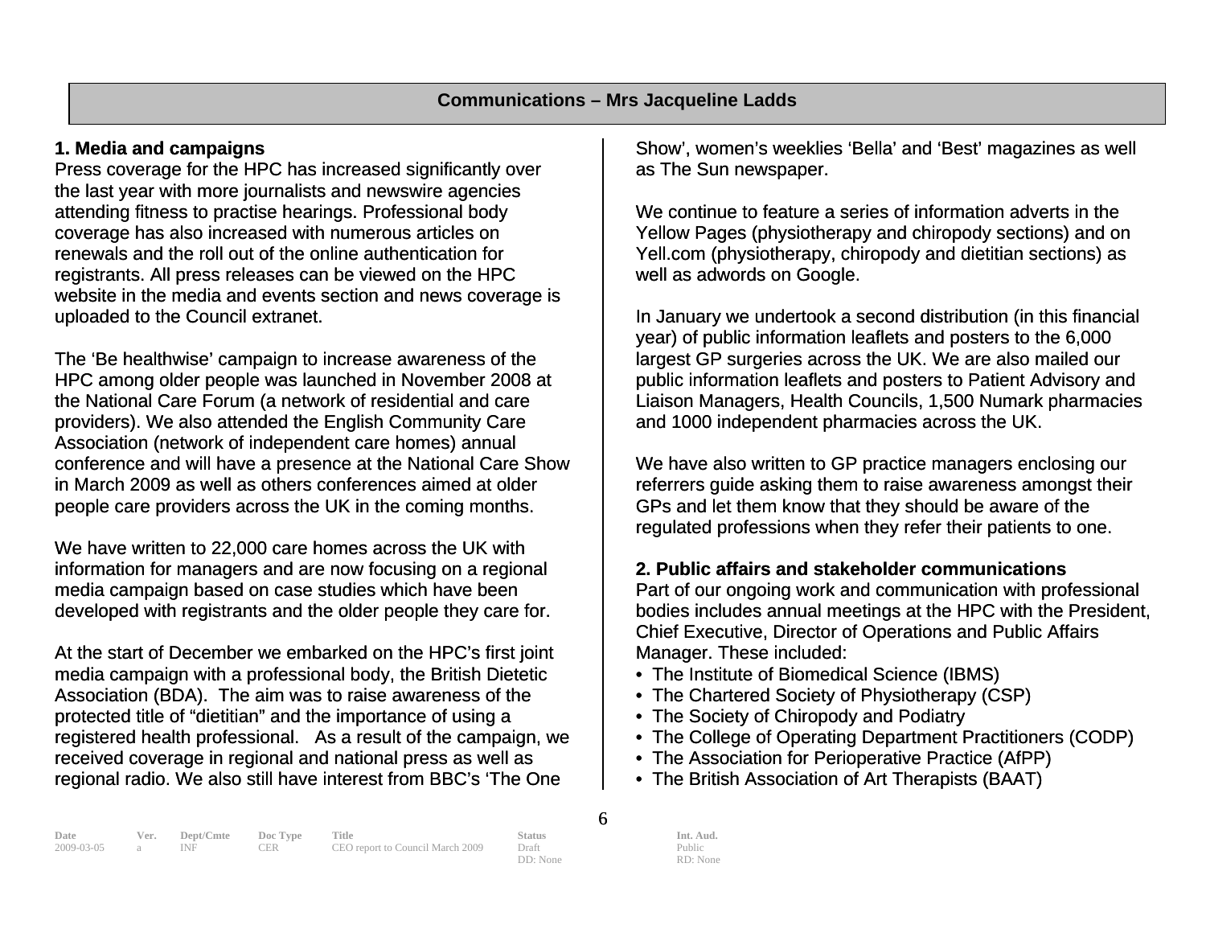#### **1. Media and campaigns**

Press coverage for the HPC has increased significantly over the last year with more journalists and newswire agencies attending fitness to practise hearings. Professional body coverage has also increased with numerous articles on renewals and the roll out of the online authentication for registrants. All press releases can be viewed on the HPC website in the media and events section and news coverage is uploaded to the Council extranet.

The 'Be healthwise' campaign to increase awareness of the HPC among older people was launched in November 2008 at the National Care Forum (a network of residential and care providers). We also attended the English Community Care Association (network of independent care homes) annual conference and will have a presence at the National Care Show in March 2009 as well as others conferences aimed at older people care providers across the UK in the coming months.

We have written to 22,000 care homes across the UK with information for managers and are now focusing on a regional media campaign based on case studies which have been developed with registrants and the older people they care for.

At the start of December we embarked on the HPC's first joint media campaign with a professional body, the British Dietetic Association (BDA). The aim was to raise awareness of the protected title of "dietitian" and the importance of using a registered health professional. As a result of the campaign, we received coverage in regional and national press as well as regional radio. We also still have interest from BBC's 'The One

Show', women's weeklies 'Bella' and 'Best' magazines as well as The Sun newspaper.

We continue to feature a series of information adverts in the Yellow Pages (physiotherapy and chiropody sections) and on Yell.com (physiotherapy, chiropody and dietitian sections) as well as adwords on Google.

In January we undertook a second distribution (in this financial year) of public information leaflets and posters to the 6,000 largest GP surgeries across the UK. We are also mailed our public information leaflets and posters to Patient Advisory and Liaison Managers, Health Councils, 1,500 Numark pharmacies and 1000 independent pharmacies across the UK.

We have also written to GP practice managers enclosing our referrers guide asking them to raise awareness amongst their GPs and let them know that they should be aware of the regulated professions when they refer their patients to one.

#### **2. Public affairs and stakeholder communications**

Part of our ongoing work and communication with professional bodies includes annual meetings at the HPC with the President, Chief Executive, Director of Operations and Public Affairs Manager. These included:

- The Institute of Biomedical Science (IBMS)
- The Chartered Society of Physiotherapy (CSP)
- The Society of Chiropody and Podiatry
- The College of Operating Department Practitioners (CODP)
- The Association for Perioperative Practice (AfPP)
- The British Association of Art Therapists (BAAT)

| Date             | Ver. Dept/Cmte Doc Type Title |            |                                  | <b>Status</b> | Int. Aud. |
|------------------|-------------------------------|------------|----------------------------------|---------------|-----------|
| 2009-03-05 a INF |                               | <b>CER</b> | CEO report to Council March 2009 | Draft         | Public    |
|                  |                               |            |                                  |               |           |

6

DD: None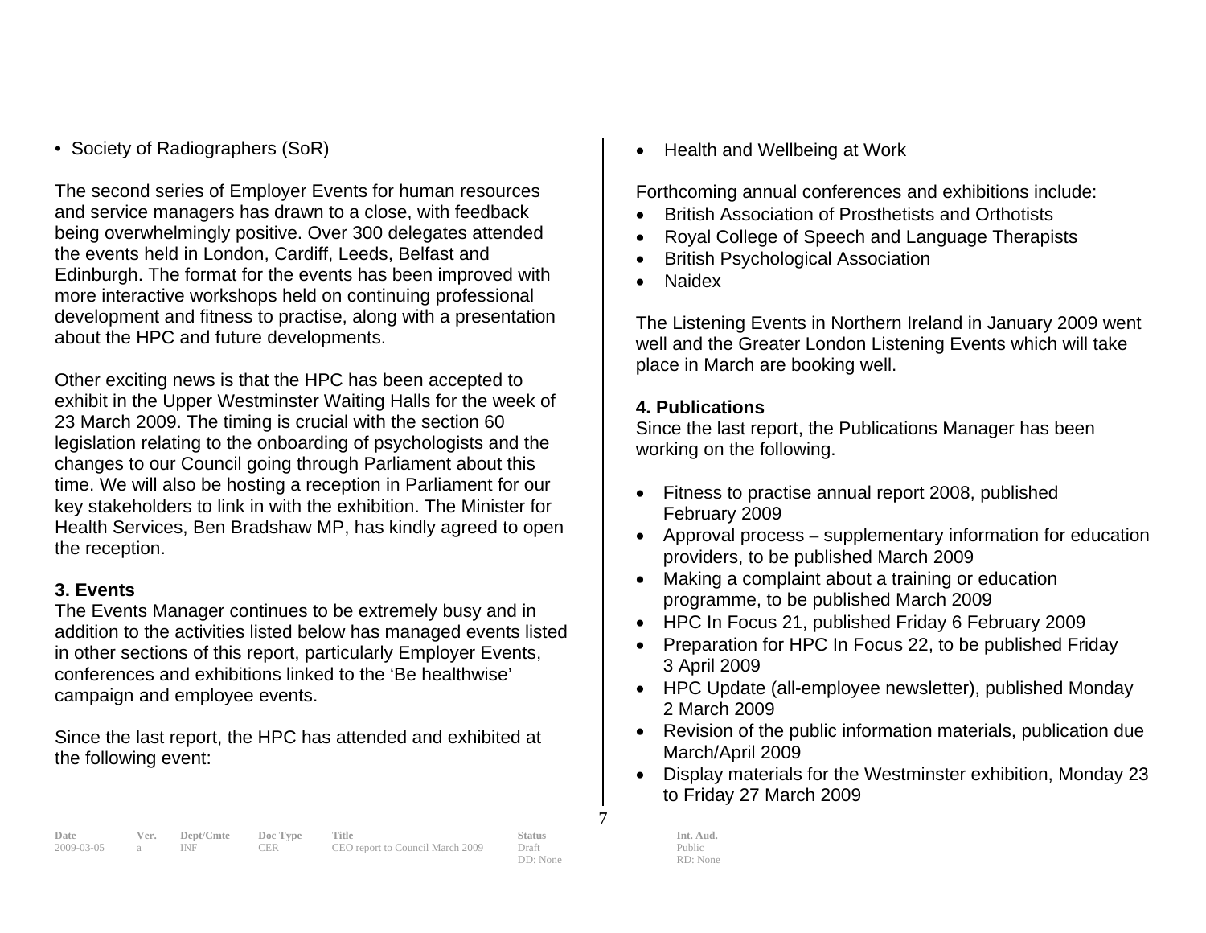• Society of Radiographers (SoR)

The second series of Employer Events for human resources and service managers has drawn to a close, with feedback being overwhelmingly positive. Over 300 delegates attended the events held in London, Cardiff, Leeds, Belfast and Edinburgh. The format for the events has been improved with more interactive workshops held on continuing professional development and fitness to practise, along with a presentation about the HPC and future developments.

Other exciting news is that the HPC has been accepted to exhibit in the Upper Westminster Waiting Halls for the week of 23 March 2009. The timing is crucial with the section 60 legislation relating to the onboarding of psychologists and the changes to our Council going through Parliament about this time. We will also be hosting a reception in Parliament for our key stakeholders to link in with the exhibition. The Minister for Health Services, Ben Bradshaw MP, has kindly agreed to open the reception.

#### **3. Events**

The Events Manager continues to be extremely busy and in addition to the activities listed below has managed events listed in other sections of this report, particularly Employer Events, conferences and exhibitions linked to the 'Be healthwise' campaign and employee events.

Since the last report, the HPC has attended and exhibited at the following event:

• Health and Wellbeing at Work

Forthcoming annual conferences and exhibitions include:

- British Association of Prosthetists and Orthotists
- Royal College of Speech and Language Therapists
- British Psychological Association
- Naidex

The Listening Events in Northern Ireland in January 2009 went well and the Greater London Listening Events which will take place in March are booking well.

#### **4. Publications**

Since the last report, the Publications Manager has been working on the following.

- Fitness to practise annual report 2008, published February 2009
- Approval process supplementary information for education providers, to be published March 2009
- Making a complaint about a training or education programme, to be published March 2009
- HPC In Focus 21, published Friday 6 February 2009
- Preparation for HPC In Focus 22, to be published Friday 3 April 2009
- HPC Update (all-employee newsletter), published Monday 2 March 2009
- Revision of the public information materials, publication due March/April 2009
- Display materials for the Westminster exhibition, Monday 23 to Friday 27 March 2009

Public RD: None

7

**Date Ver. Dept/Cmte Doc Type Title Status Status Int. Aud.**<br>
2009-03-05 a INF CER CEO report to Council March 2009 Draft Public Public

2009-03-05 a INF CER CEO report to Council March 2009 Draft

DD: None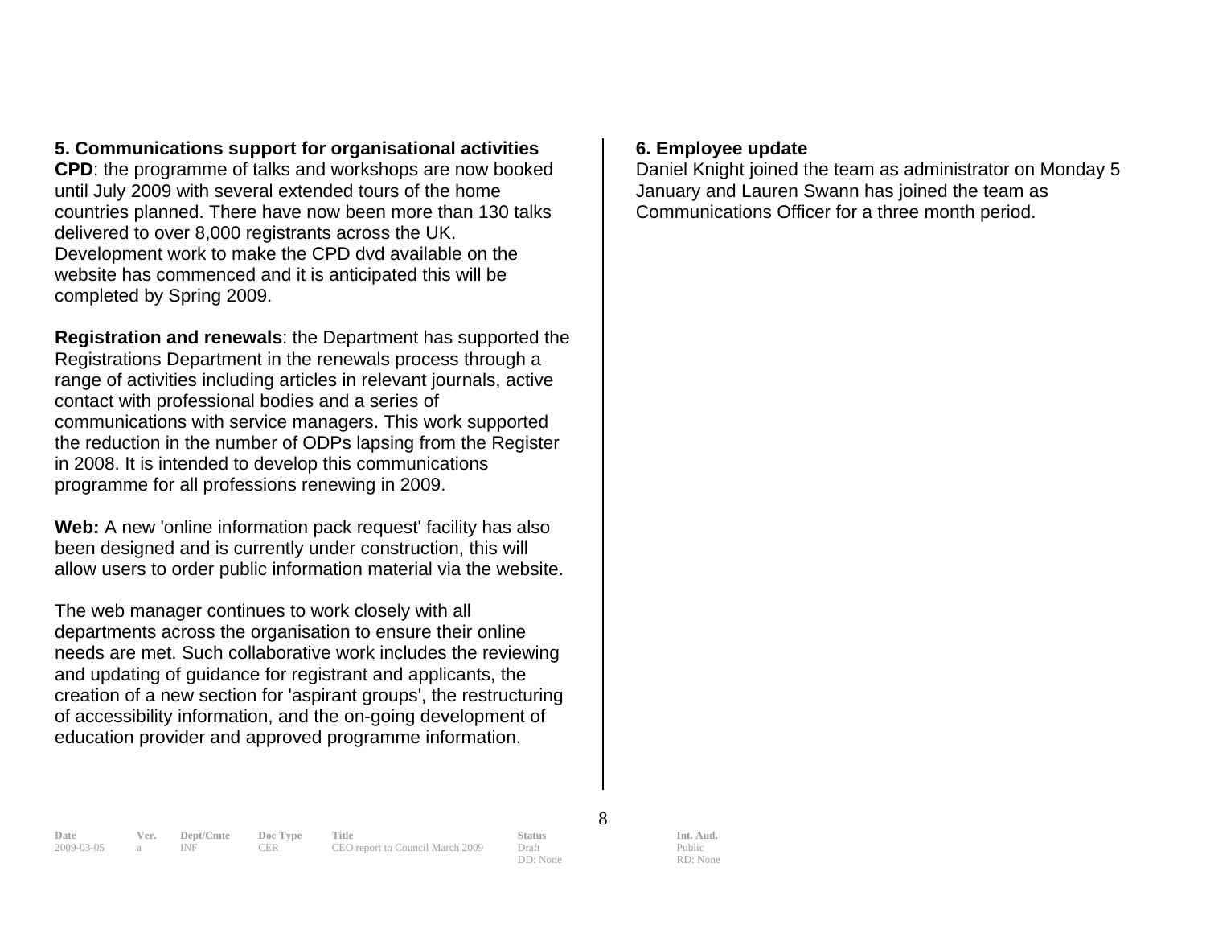# **5. Communications support for organisational activities**

**CPD**: the programme of talks and workshops are now booked until July 2009 with several extended tours of the home countries planned. There have now been more than 130 talks delivered to over 8,000 registrants across the UK. Development work to make the CPD dvd available on the website has commenced and it is anticipated this will be completed by Spring 2009.

**Registration and renewals**: the Department has supported the Registrations Department in the renewals process through a range of activities including articles in relevant journals, active contact with professional bodies and a series of communications with service managers. This work supported the reduction in the number of ODPs lapsing from the Register in 2008. It is intended to develop this communications programme for all professions renewing in 2009.

**Web:** A new 'online information pack request' facility has also been designed and is currently under construction, this will allow users to order public information material via the website.

The web manager continues to work closely with all departments across the organisation to ensure their online needs are met. Such collaborative work includes the reviewing and updating of guidance for registrant and applicants, the creation of a new section for 'aspirant groups', the restructuring of accessibility information, and the on-going development of education provider and approved programme information.

#### **6. Employee update**

Daniel Knight joined the team as administrator on Monday 5 January and Lauren Swann has joined the team as Communications Officer for a three month period.

8

DD: None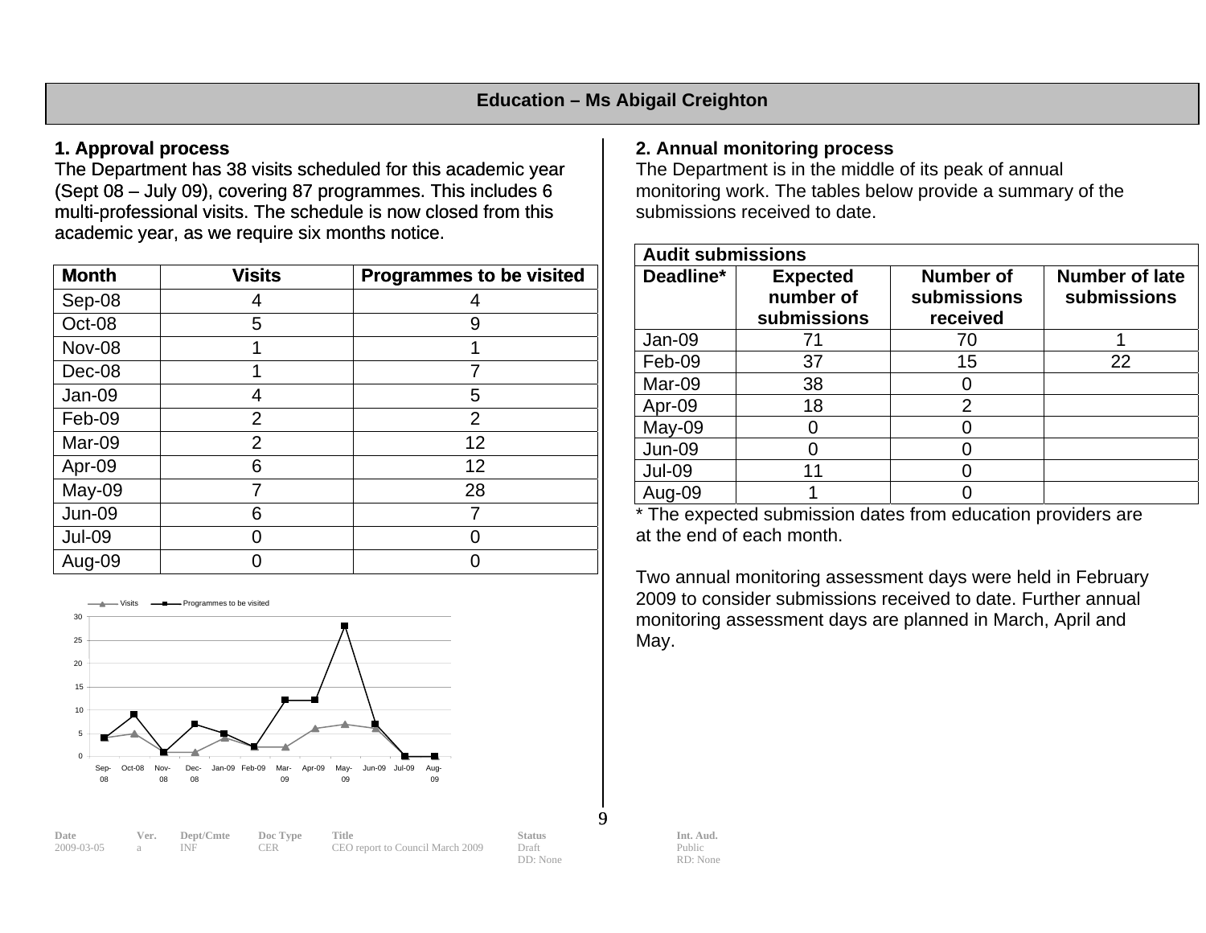#### **1. Approval process**

The Department has 38 visits scheduled for this academic year (Sept 08 – July 09), covering 87 programmes. This includes 6 multi-professional visits. The schedule is now closed from this academic year, as we require six months notice.

| <b>Month</b>  | <b>Visits</b>  | <b>Programmes to be visited</b> |
|---------------|----------------|---------------------------------|
| Sep-08        |                |                                 |
| Oct-08        | 5              | 9                               |
| <b>Nov-08</b> |                |                                 |
| Dec-08        |                |                                 |
| Jan-09        | 4              | 5                               |
| Feb-09        | $\overline{2}$ | $\overline{2}$                  |
| Mar-09        | $\overline{2}$ | 12                              |
| Apr-09        | 6              | 12                              |
| May-09        |                | 28                              |
| <b>Jun-09</b> | 6              |                                 |
| <b>Jul-09</b> |                |                                 |
| Aug-09        |                |                                 |



#### **2. Annual monitoring process**

The Department is in the middle of its peak of annual monitoring work. The tables below provide a summary of the submissions received to date.

| <b>Audit submissions</b> |                                             |                                             |                               |  |  |  |
|--------------------------|---------------------------------------------|---------------------------------------------|-------------------------------|--|--|--|
| Deadline*                | <b>Expected</b><br>number of<br>submissions | <b>Number of</b><br>submissions<br>received | Number of late<br>submissions |  |  |  |
| Jan-09                   | 71                                          | 70                                          |                               |  |  |  |
| Feb-09                   | 37                                          | 15                                          | 22                            |  |  |  |
| Mar-09                   | 38                                          |                                             |                               |  |  |  |
| Apr-09                   | 18                                          | $\overline{2}$                              |                               |  |  |  |
| May-09                   |                                             |                                             |                               |  |  |  |
| <b>Jun-09</b>            |                                             |                                             |                               |  |  |  |
| <b>Jul-09</b>            | 11                                          |                                             |                               |  |  |  |
| Aug-09                   |                                             |                                             |                               |  |  |  |

\* The expected submission dates from education providers are at the end of each month.

Two annual monitoring assessment days were held in February 2009 to consider submissions received to date. Further annual monitoring assessment days are planned in March, April a nd May.

 $\mathbf{Q}$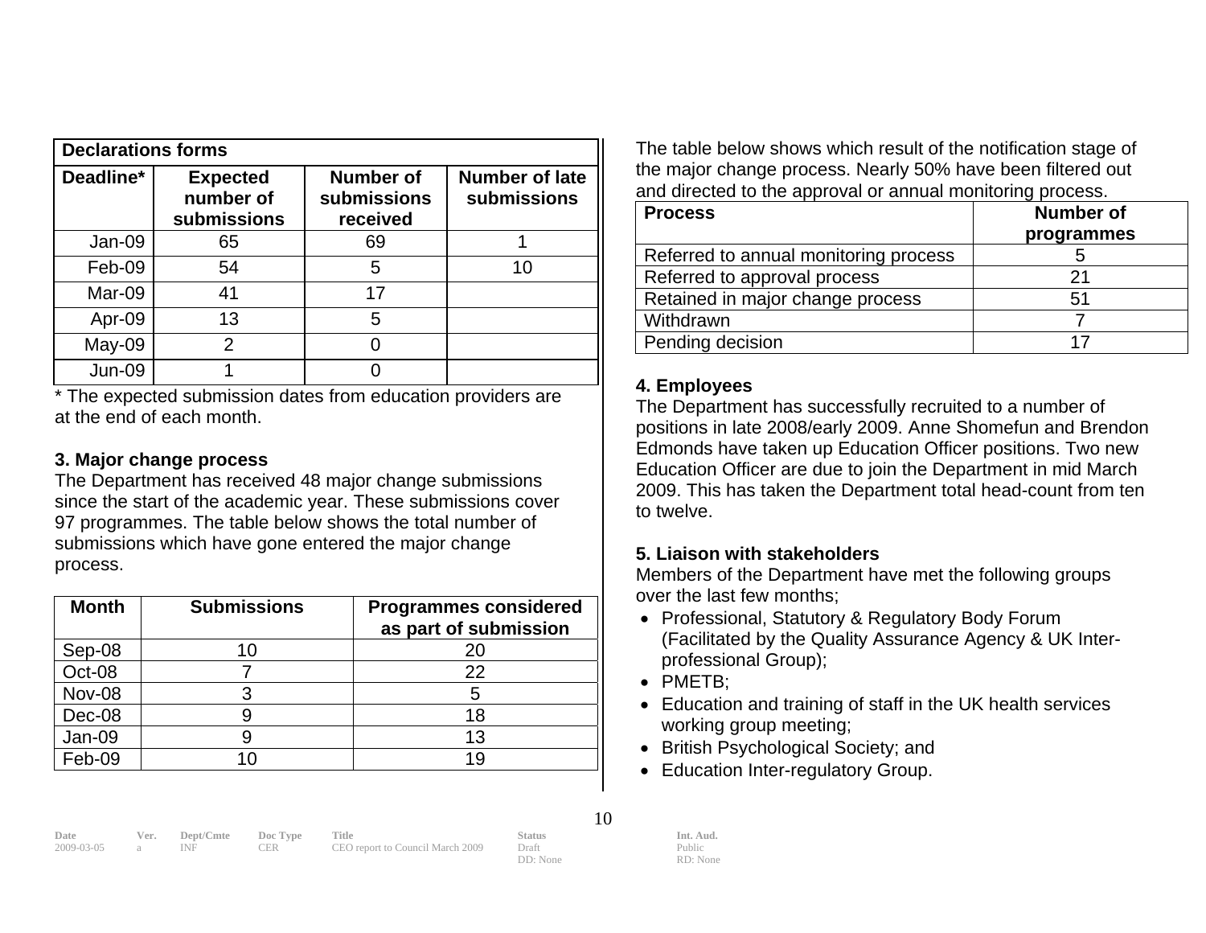| <b>Declarations forms</b> |                                             |                                             |                                      |  |  |  |
|---------------------------|---------------------------------------------|---------------------------------------------|--------------------------------------|--|--|--|
| Deadline*                 | <b>Expected</b><br>number of<br>submissions | <b>Number of</b><br>submissions<br>received | <b>Number of late</b><br>submissions |  |  |  |
| Jan-09                    | 65                                          | 69                                          |                                      |  |  |  |
| Feb-09                    | 54                                          | 5                                           | 10                                   |  |  |  |
| Mar-09                    | 41                                          | 17                                          |                                      |  |  |  |
| Apr-09                    | 13                                          | 5                                           |                                      |  |  |  |
| May-09                    | 2                                           |                                             |                                      |  |  |  |
| <b>Jun-09</b>             |                                             |                                             |                                      |  |  |  |

\* The expected submission dates from education providers are at the end of each month.

#### **3. Major chan ge process**

The Department has received 48 major change submissions since the start of the academic year. These submissions cover 97 programmes. The table below shows the total number of submissions which have gone entered the major change proc ess.

| <b>Month</b>  | <b>Submissions</b> | <b>Programmes considered</b><br>as part of submission |
|---------------|--------------------|-------------------------------------------------------|
| Sep-08        | 10                 |                                                       |
| Oct-08        |                    | 22                                                    |
| <b>Nov-08</b> |                    |                                                       |
| Dec-08        |                    | 18                                                    |
| Jan-09        |                    | 13                                                    |
| Feb-09        | 10                 | 19                                                    |

T he table below shows which result of the notification stage of the major change process. Nearly 50% have been filtered out and directed to the approval or annual monitoring process.

| <b>Process</b>                        | <b>Number of</b><br>programmes |
|---------------------------------------|--------------------------------|
| Referred to annual monitoring process |                                |
| Referred to approval process          | 21                             |
| Retained in major change process      | 51                             |
| Withdrawn                             |                                |
| Pending decision                      | 17                             |

#### **4. Employees**

The Department has successfully recruited to a number of positions in late 2008/early 2009. Anne Shomefun and Brendon Edmonds have taken up Education Officer posit ions. Two new Education Officer are due to join the Department in mid March 2009. This has taken the Department total head-count from ten to twelve.

# **keholders 5. Liaison with sta**

Members of the Department have met the following groups over the last few months;

- Professional, Statutory & Regulatory Body Forum (Facilitated by the Quality Assurance Agency & UK Interprofessional Group);
- PMETB;
- Education and training of staff in the UK health services working group meeting;
- British Psychological Society; and
- Education Inter-regulatory Group.

| late     |  |  |
|----------|--|--|
| nnn na n |  |  |

**Date Ver. Dept/Cmte Doc Type Title Status Status Int. Aud.**<br>
2009-03-05 a INF CER CEO report to Council March 2009 Draft Public Public 2009-03-05 a INF CER CEO report to Council March 2009 Draft

DD: None

10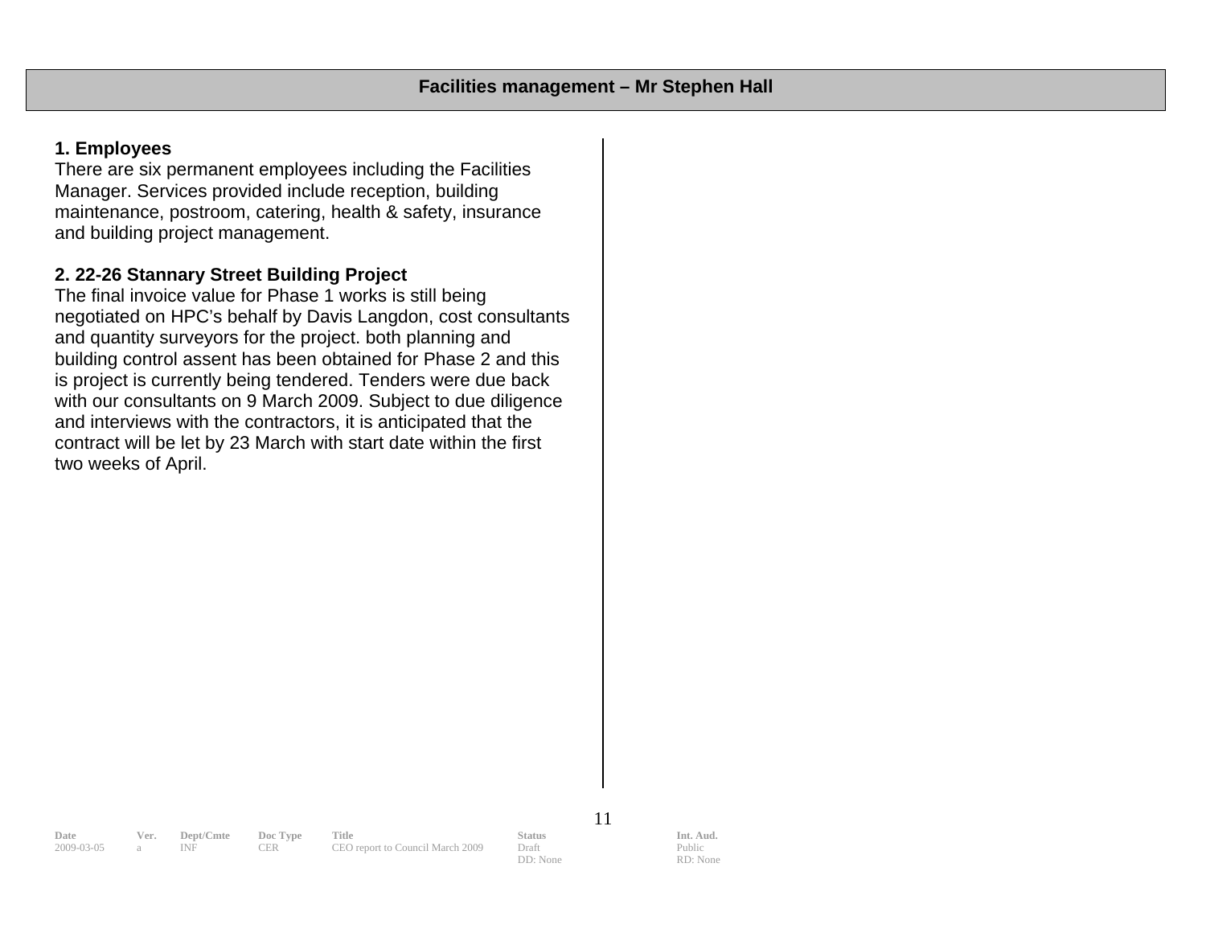#### **1. Employees**

Manager. Services provided include reception, building There are six permanent employees including the Facilities maintenance, postroom, catering, health & safety, insurance and building project management.

#### **2. 22-26 Stannary Street Building Project**

negotiated on HPC's behalf by Davis Langdon, cost consultants and quantity surveyors for the project. both planning and is project is currently being tendered. Tenders were due back with our consultants on 9 March 2009. Subject to due diligence and interviews with the contractors, it is anticipated that the contract will be let by 23 March with start date within the first two weeks of April. The final invoice value for Phase 1 works is still being building control assent has been obtained for Phase 2 and this

11

**Date Ver. Dept/Cmte Doc Type Title Status Status Int. Aud.**<br>
2009-03-05 a INF CER CEO report to Council March 2009 Draft Public Public

CEO report to Council March 2009 Draft DD: None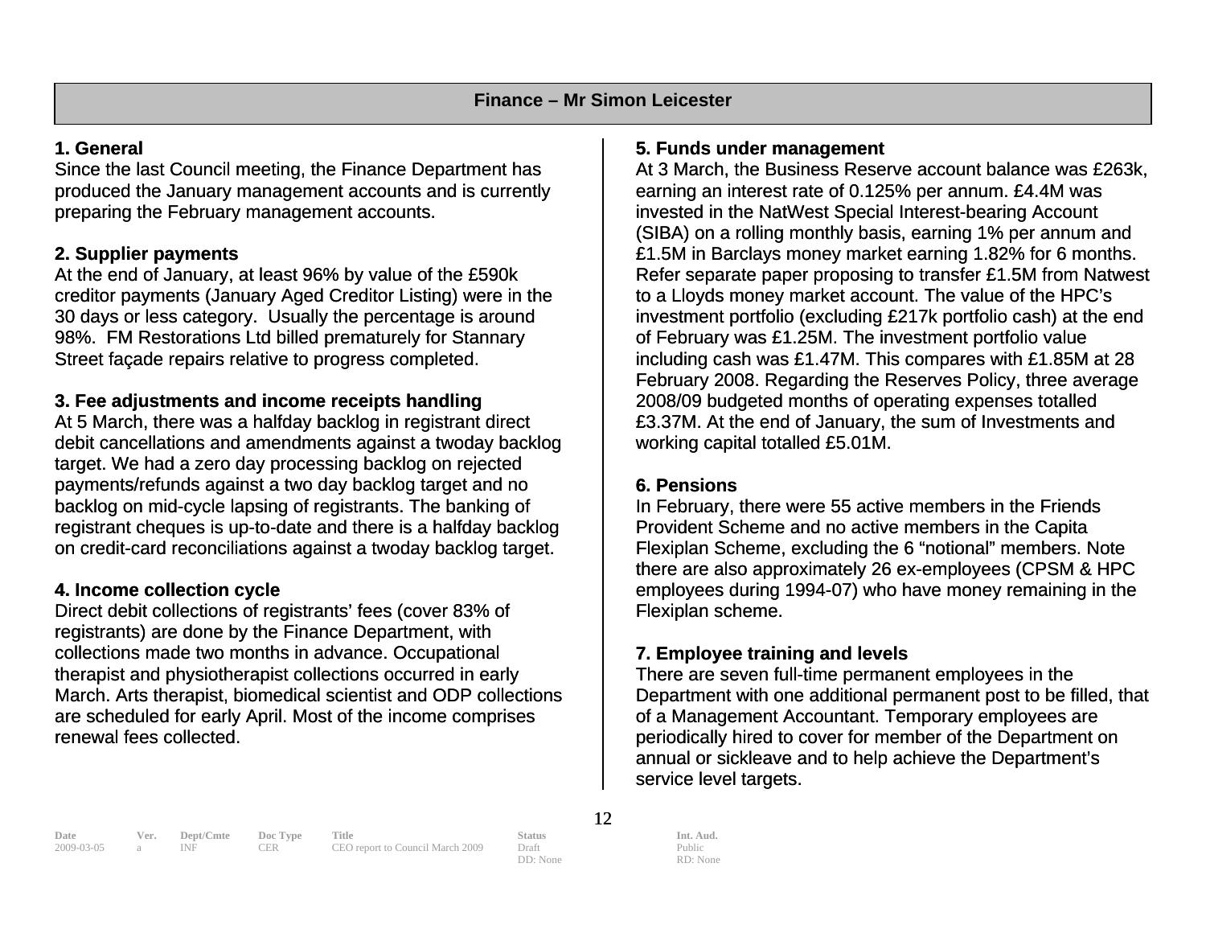#### **1. General**

produced the January management accounts and is currently Since the last Council meeting, the Finance Department has preparing the February management accounts.

#### **. Supplier payments 2.**

At the end of January, at least 96% by value of the £590k creditor payments (January Aged Creditor Listing) were in the 30 days or less category. Usually the percentage is around 98%. FM Restorations Ltd billed prematurely for Stannary Street façade repairs relative to progress completed.

# **3. Fee adjustments and income receipts handling**

debit cancellations and amendments against a twoday backlog ayments/refunds against a two day backlog target and no payments/refunds against a two day backlog target and no<br>backlog on mid-cycle lapsing of registrants. The banking of registrant cheques is up-to-date and there is a halfday backlog on credit-card reconciliations against a twoday backlog target. At 5 March, there was a halfday backlog in registrant direct target. We had a zero day processing backlog on rejected

# **. Income collection cycle 4**

Direct debit collections of registrants' fees (cover 83% of registrants) are done by the Finance Department, with collections made two months in advance. Occupational herapist and physiotherapist collections occurred in early t March. Arts therapist, biomedical scientist and ODP collections are scheduled for early April. Most of the income comprises renewal fees collected.

# **. Funds under management 5**

At 3 March, the Business Reserve account balance was £263k, earning an interest rate of 0.125% per annum. £4.4M was invested in the NatWest Special Interest-bearing Account (SIBA) on a rolling monthly basis, earning 1% per annum and £1.5M in Barclays money market earning 1.82% for 6 months. Refer separate paper proposing to transfer £1.5M from Natwest to a Lloyds money market account. The value of the HPC's investment portfolio (excluding £217k portfolio cash) at the end of February was £1.25M. The investment portfolio value including cash was £1.47M. This compares with £1.85M at 28 February 2008. Regarding the Reserves Policy, three average 2008/09 budgeted months of operating expenses totalled £3.37M. At the end of January, the sum of Investments and working capital totalled £5.01M.

# **6. Pensions**

In February, there were 55 active members in the Friends Provident Scheme and no active members in the Capita Flexiplan Scheme, excluding the 6 "notional" members. Note there are also approximately 26 ex-employees (CPSM & HPC employees during 1994-07) who have money remaining in the Flexiplan scheme.

# **7. Employee training and levels**

There are seven full-time permanent employees in the Department with one additional permanent post to be filled, that of a Management Accountant. Temporary employees are periodically hired to cover for member of the Department on annual or sickleave and to help achieve the Department's service level targets.

**Date Ver. Dept/Cmte Doc Type Title Status Status Int. Aud.** 2009-03-05 a INF CER CEO report to Council March 2009 Draft Public Public 2009-03-05 a INF CER CEO report to Council March 2009 Draft

12

DD: None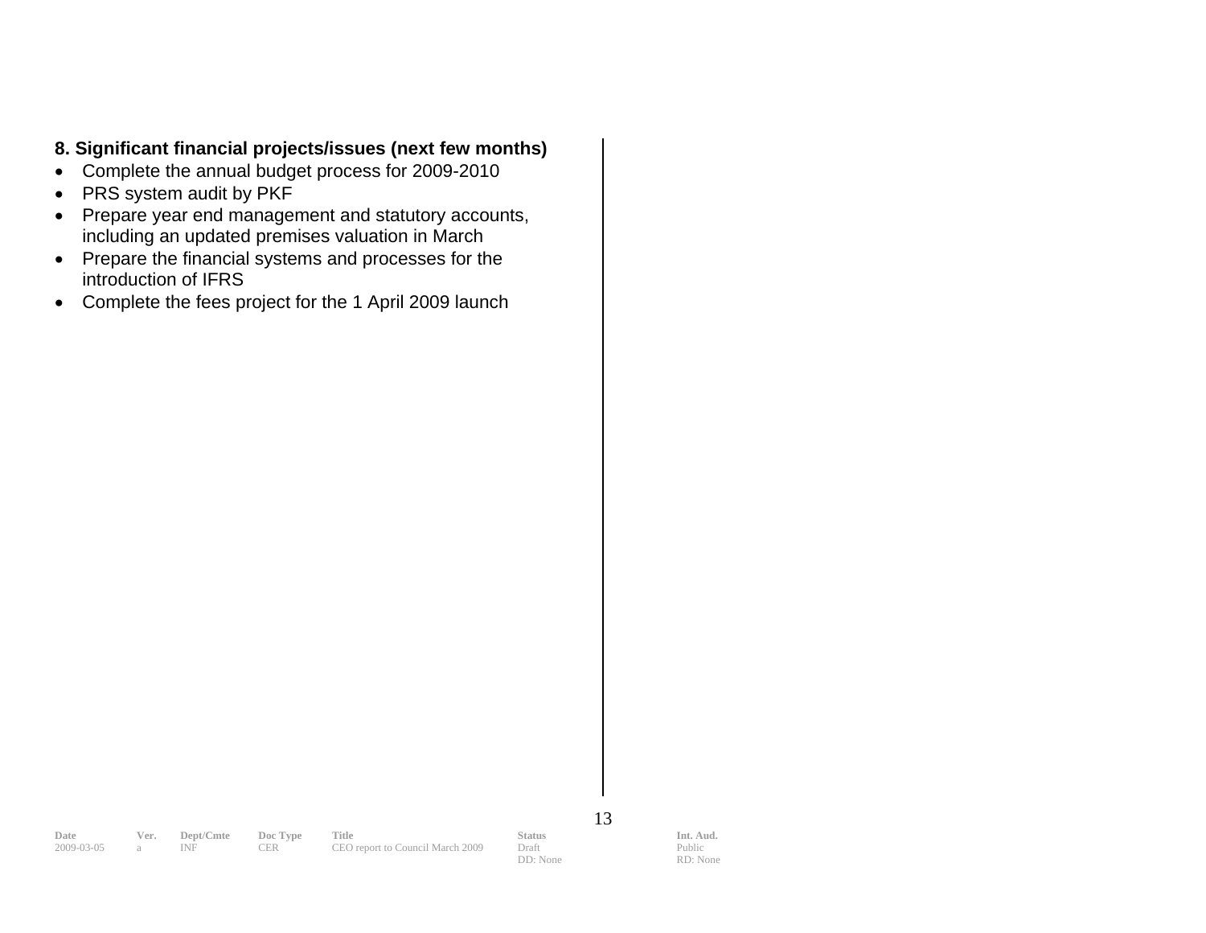# **nt financial projects/issues (next few months) 8. Significa**

- Complete the annual budget process for 2009-2010
- PRS system audit by PKF
- Prepare year end management and statutory accounts, including an updated premises valuation in March
- Prepare the financial systems and processes for the introduction of IFRS
- Complete the fees project for the 1 April 2009 launch

13

**Date Ver. Dept/Cmte Doc Type Title Status Status Int. Aud.** 2009-03-05 a INF CER CEO report to Council March 2009 Draft Public Public 2009 a INF CER CEO report to Council March 2009

DD: None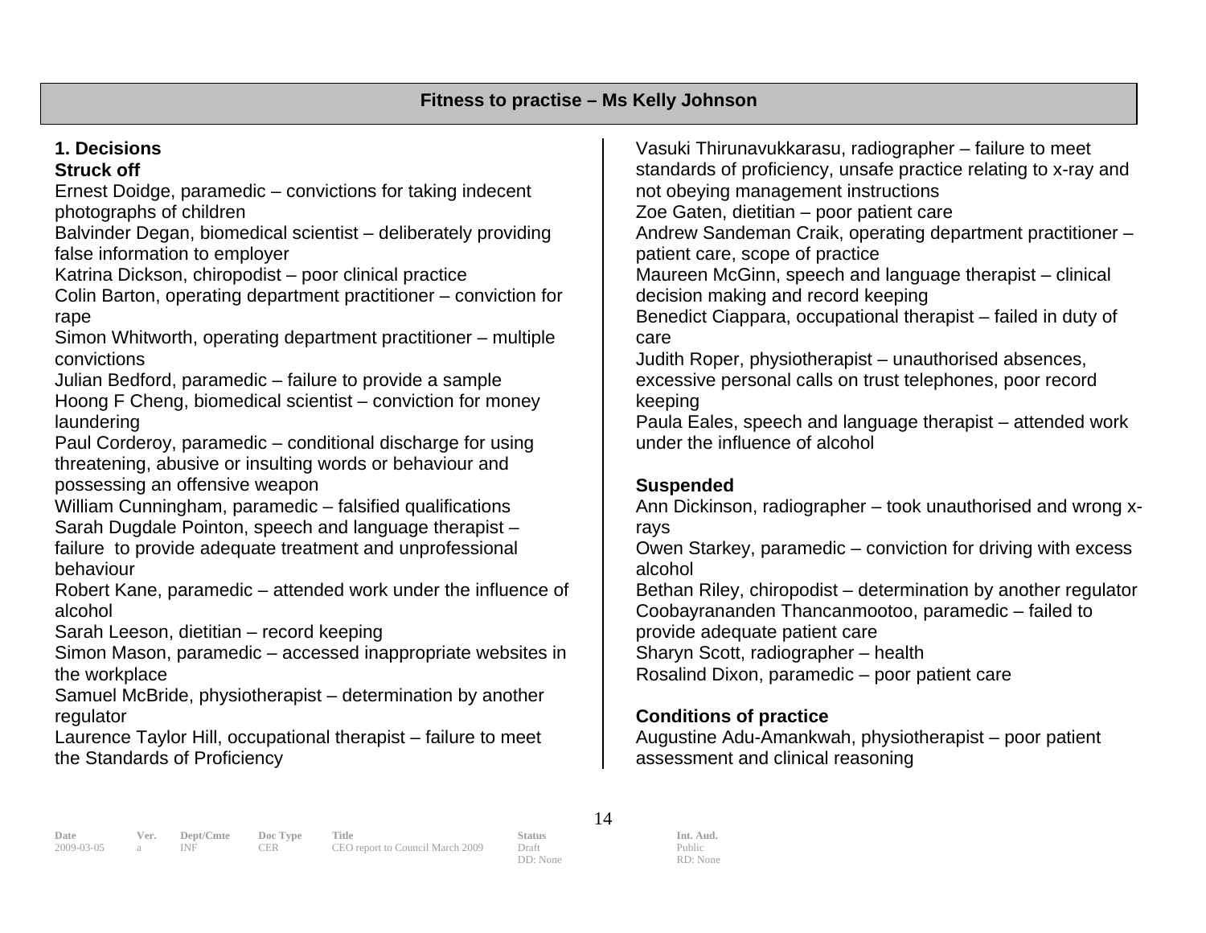# **1. Decisions**

**Struck off** 

Ernest Doidge, paramedic – convictions for taking indecent photographs of children

Balvinder Degan, biomedical scientist – deliberately providing false information to employer

Katrina Dickson, chiropodist – poor clinical practice

Colin Barton, operating department practitioner – conviction for rape

Simon Whitworth, operating department practitioner – multiple convictions

Julian Bedford, paramedic – failure to provide a sample

Hoong F Cheng, biomedical scientist – conviction for money laundering l

Paul Corderoy, paramedic – conditional discharge for using hreatening, abusive or insulting words or behaviour and t possessing an offensive weapon

William Cunningham, paramedic – falsified qualifications Sarah Dugdale Pointon, speech and language therapist – failure to provide adequate treatment and unprofessional behaviour

Robert Kane, paramedic – attended work under the influence of alcohol

Sarah Leeson, dietitian – record keeping

Simon Mason, paramedic – accessed inappropriate websites in the workplace

Samuel McBride, physiotherapist – determination by another egulator r

Laurence Taylor Hill, occupational therapist – failure to meet the Standards of Proficiency

Vasuki Thirunavukkarasu, radiographer – failure to meet standards of proficiency, unsafe practice relating to x-ray and not obeying management instructions Zoe Gaten, dietitian – poor patient care Andrew Sandeman Craik, operating department practitioner – patient care, scope of practice Maureen McGinn, speech and language therapist – clinical decision making and record keeping Benedict Ciappara, occupational therapist – failed in duty of care Judith Roper, physiotherapist – unauthorised absences, excessive personal calls on trust telephones, poor record keeping Paula Eales, speech and language therapist – attended work under the influence of alcohol

# **Suspended**

Ann Dickinson, radiographer – took unauthorised and wrong xrays

Owen Starkey, paramedic – conviction for driving with excess alcohol

Bethan Riley, chiropodist – determination by another regulator Coobayrananden Thancanmootoo, paramedic – failed to provide adequate patient care Sharyn Scott, radiographer – health

Rosalind Dixon, paramedic – poor patient care

# **Conditions of practice**

Augustine Adu-Amankwah, physiotherapist – poor patient assessment and clinical reasoning

**Date Ver. Dept/Cmte Doc Type Title Status Status Int. Aud.**<br>
2009-03-05 a INF CER CEO report to Council March 2009 Draft Public Public 2009-03-05 a INF CER CEO report to Council March 2009 Draft

14

DD: None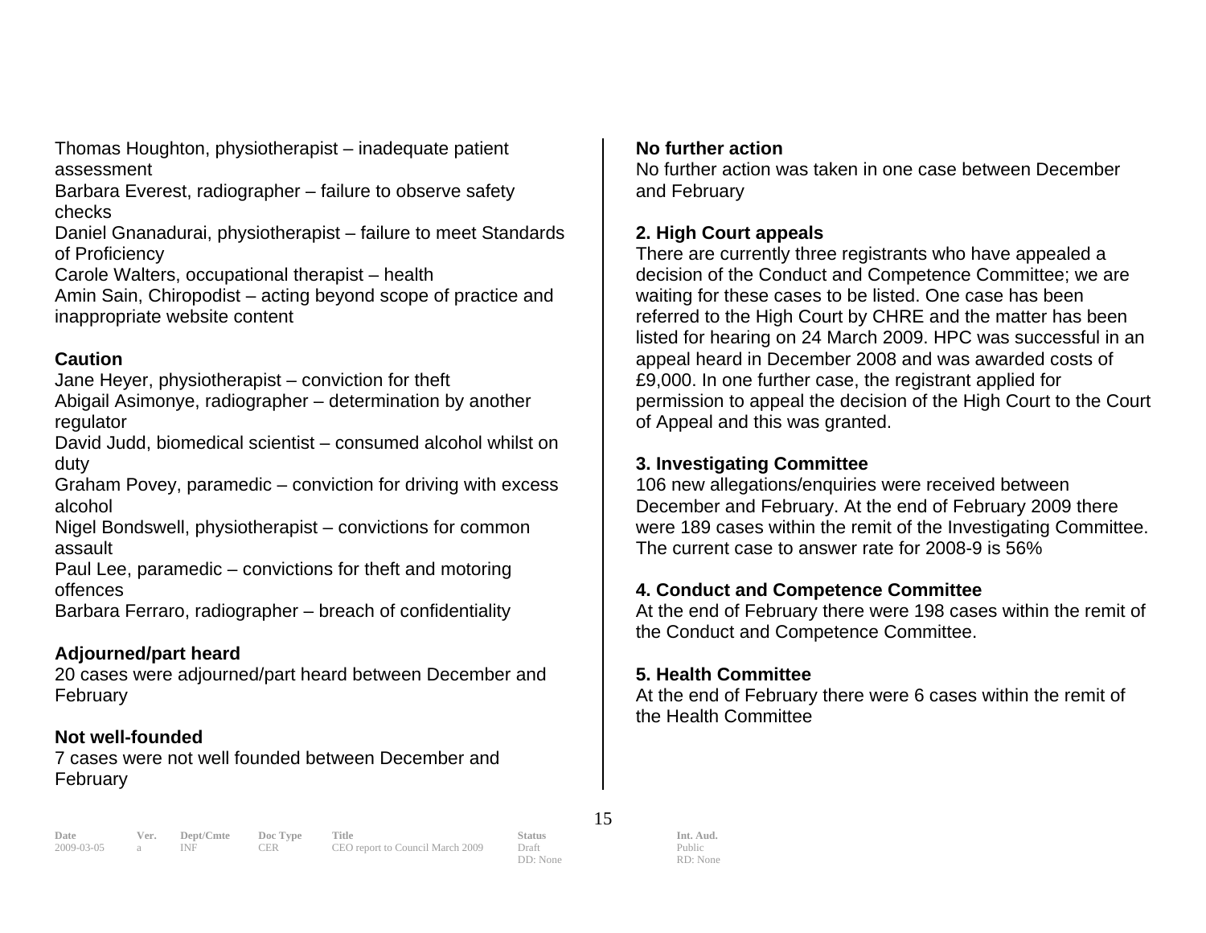Thomas Houghton, physiotherapist – inadequate patient assessment

Barbara Everest, radiographer – failure to observe safety checks

Daniel Gnanadurai, physiotherapist – failure to meet Standards of Proficiency

Carole Walters, occupational therapist – health

Amin Sain, Chiropodist – acting beyond scope of practice and inappropriate website content

#### **Caution**

Jane Heyer, physiotherapist – conviction for theft Abigail Asimonye, radiographer – determination by another

regulator

David Judd, biomedical scientist – consumed alcohol whilst on duty

Graham Povey, paramedic – conviction for driving with excess alcohol

Nigel Bondswell, physiotherapist – convictions for common assault

Paul Lee, paramedic – convictions for theft and motoring offences

Barbara Ferraro, radiographer – breach of confidentiality

# **Adjourned/part heard**

20 cases were adjourned/part heard between December and February

# **Not well-founded**

7 cases were not well founded between December and February

# **No further action**

No further action was taken in one case between December and February

# **2. High Court appeals**

decision of the Conduct and Competence Committee; we are listed for hearing on 24 March 2009. HPC was successful in an appeal heard in December 2008 and was awarded costs of There are currently three registrants who have appealed a waiting for these cases to be listed. One case has been referred to the High Court by CHRE and the matter has been £9,000. In one further case, the registrant applied for permission to appeal the decision of the High Court to the Court of Appeal and this was granted.

# **3. Investigating Committee**

106 new allegations/enquiries were received between December and February. At the end of February 2009 there were 189 cases within the remit of the Investigating Committee. The current case to answer rate for 2008-9 is 56%

# **4. Conduct and Competence Committee**

At the end of February there were 198 cases within the remit of the Conduct and Competence Committee.

# **5. Health Committee**

At the end of February there were 6 cases within the remit of the Health Committee

**Date Ver. Dept/Cmte Doc Type Title Status Status Int. Aud.**<br>
2009-03-05 a INF CER CEO report to Council March 2009 Draft Public Public CEO report to Council March 2009 Draft

15

DD: None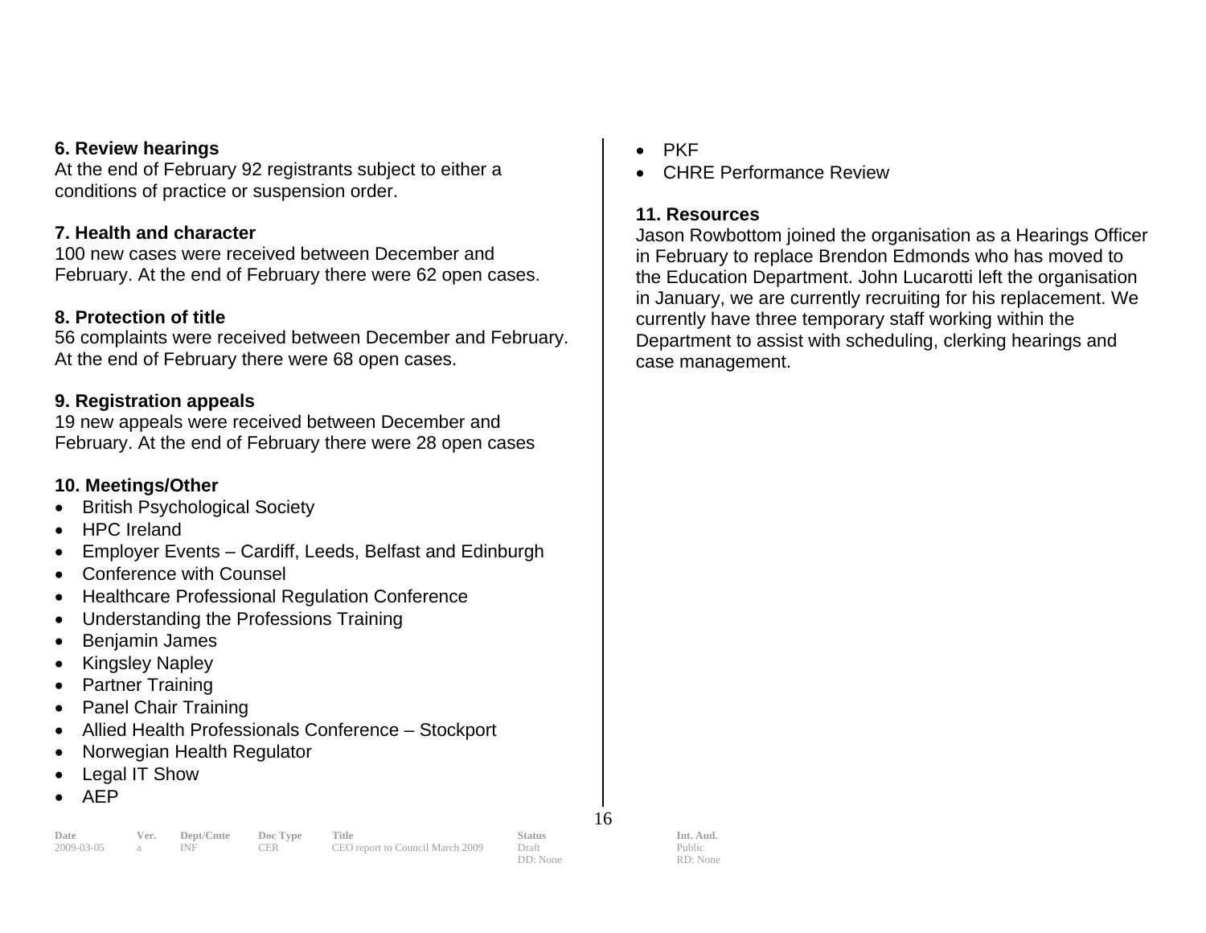#### **6. Review hearings**

At the end of February 92 registrants subject to either a conditions of practice or suspension order.

#### **7. Health and character**

February. At the end of February there were 62 open cases. 100 new cases were received between December and

#### **8. Protection of title**

56 complaints were received between December and February. At the end of February there were 68 open cases.

#### **9. Registration appeals**

19 new appeals were received between December and February. At the end of February there were 28 open cases

#### **10. Meetings/Other**

- British Psychological Society
- HPC Ireland
- Employer Events Cardiff, Leeds, Belfast and Edinburgh
- Conference with Counsel
- Healthcare Professional Regulation Conference
- Understanding the Professions Training
- Benjamin James •
- Kingsley Napley
- Partner Training
- Panel Chair Training
- Allied Health Professionals Conference Stockport •
- Norwegian Health Regulator
- Legal IT Show
- AEP

#### **Date Ver. Dept/Cmte Doc Type Title Status Status Int. Aud.**<br>
2009-03-05 a INF CER CEO report to Council March 2009 Draft Public Public 2009-03-05 a INF CER CEO report to Council March 2009 Draft

16

Public RD: None

- PKF
- CHRE Performance Review

#### **11. Resources**

Jason Rowbottom joined the organisation as a Hearings Officer in February to replace Brendon Edmonds who has moved to the Education Department. John Lucarotti left the organisation in January, we are currently recruiting for his replacement. We currently have three temporary staff working within the Department to assist with scheduling, clerking hearings and case management.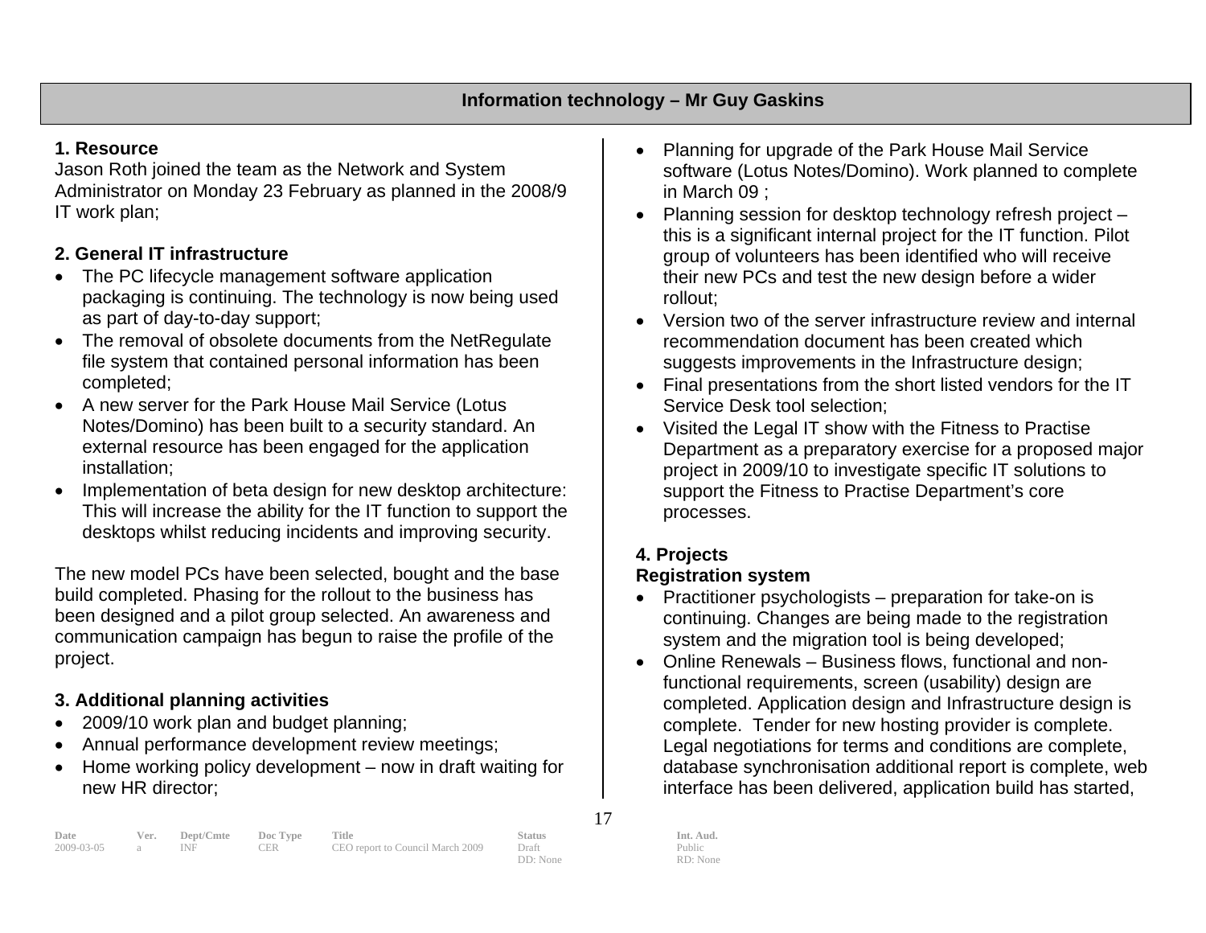# **1. Resource**

Administrator on Monday 23 February as planned in the 2008/9 Jason Roth joined the team as the Network and System IT work plan;

# **2. General IT infrastructure**

- as part of day-to-day support; • The PC lifecycle management software application packaging is continuing. The technology is now being used
- The removal of obsolete documents from the NetRegulate file system that contained personal information has been completed;
- A new server for the Park House Mail Service (Lotus Notes/Domino) has been built to a security standard. An external resource has been engaged for the application installation;
- Implementation of beta design for new desktop architecture: This will increase the ability for the IT function to support the desktops whilst reducing incidents and improving security.

The new model PCs have been selected, bought and the base build completed. Phasing for the rollout to the business has been designed and a pilot group selected. An awareness and communication campaign has begun to raise the profile of the project.

# **g activities 3. Additional plannin**

- 2009/10 work plan and budget planning;
- Annual performance development review meetings;
- Home working policy development now in draft waiting for new HR director;
- Planning for upgrade of the Park House Mail Service software (Lotus Notes/Domino). Work planned to complete in March 09 ;
- Planning session for desktop technology refresh project this is a significant internal project for the IT function. Pilot group of volunteers has been identified who will receive their new PCs and test the new design before a wider rollout;
- Version two of the server infrastructure review and internal recommendation document has been created which suggests improvements in the Infrastructure design;
- $\bullet$  Final presentations from the short listed vendors for the IT Service Desk tool selection;
- Visited the Legal IT show with the Fitness to Practise Department as a preparatory exercise for a proposed major project in 2009/10 to investigate specific IT solutions to support the Fitness to Practise Department's core processes.

# **4. Projects**

# **Registration system**

- Practitioner psychologists preparation for take-on is continuing. Changes are being made to the registration system and the migration tool is being developed;
- Online Renewals Business flows, functional and nonfunctional requirements, screen (usability) design are completed. Application design and Infrastructure design is complete. Tender for new hosting provider is complete. Legal negotiations for terms and conditions are complete, database synchronisation additional report is complete, web interface has been delivered, application build has started,

| Date         | Ver. | Dept/Cmte Doc Type |     | Title                            | <b>Status</b> | Int. Aud. |
|--------------|------|--------------------|-----|----------------------------------|---------------|-----------|
| 2009-03-05 a |      | INF -              | CER | CEO report to Council March 2009 | Draft         | Public    |
|              |      |                    |     |                                  | DD: None      | RD: None  |

17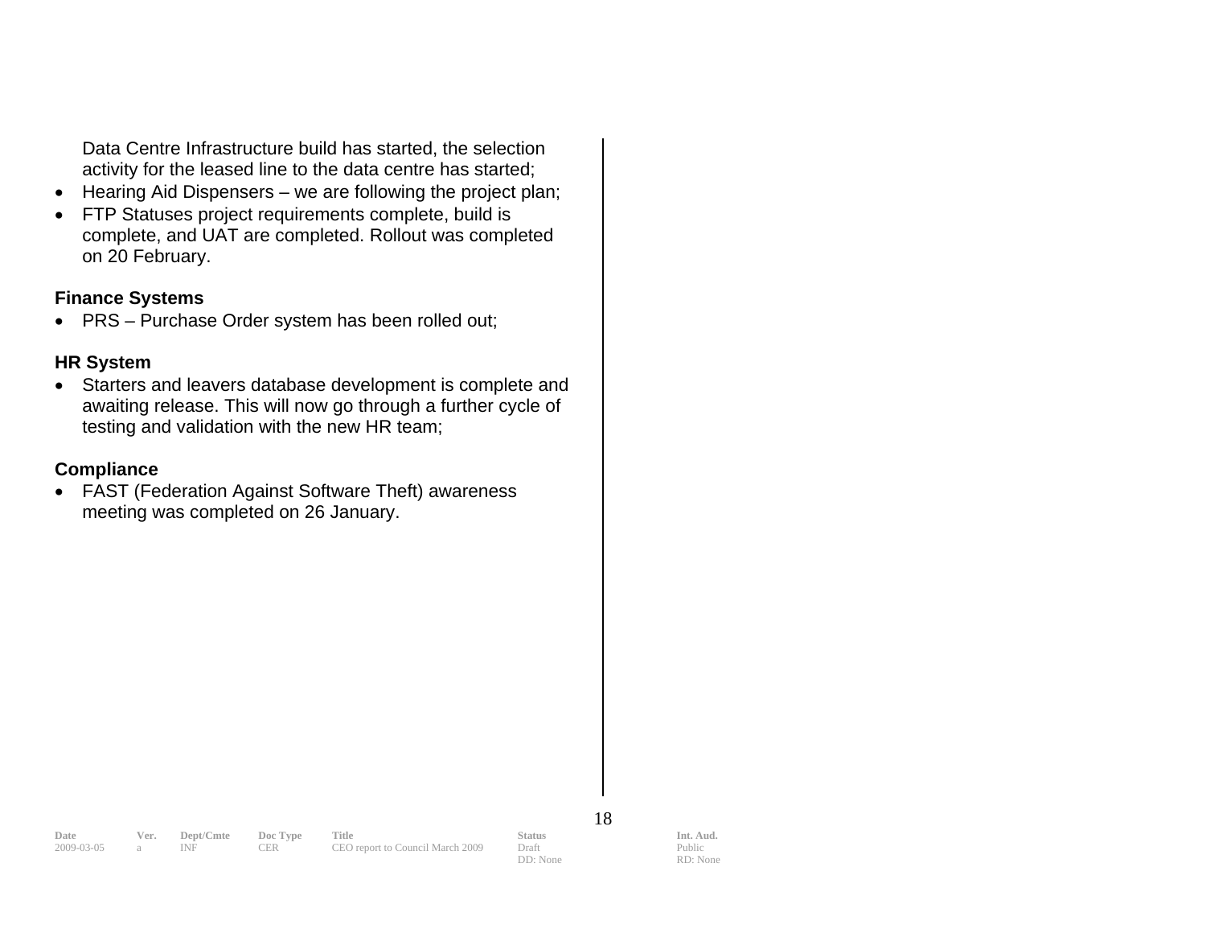Data Centre Infrastructure build has started, the selection activity for the leased line to the data centre has started;

- Hearing Aid Dispensers we are following the project plan;
- complete, and UAT are completed. Rollout was completed • FTP Statuses project requirements complete, build is on 20 February.

#### **n Fi ance Systems**

 $\bullet$ PRS – Purchase Order system has been rolled out;

#### **R H System**

• Starters and leavers database development is complete and awaiting release. This will now go through a further cycle of testing and validation with the new HR team;

### **Co mpliance**

• FAST (Federation Against Software Theft) awareness meeting was completed on 26 January.

18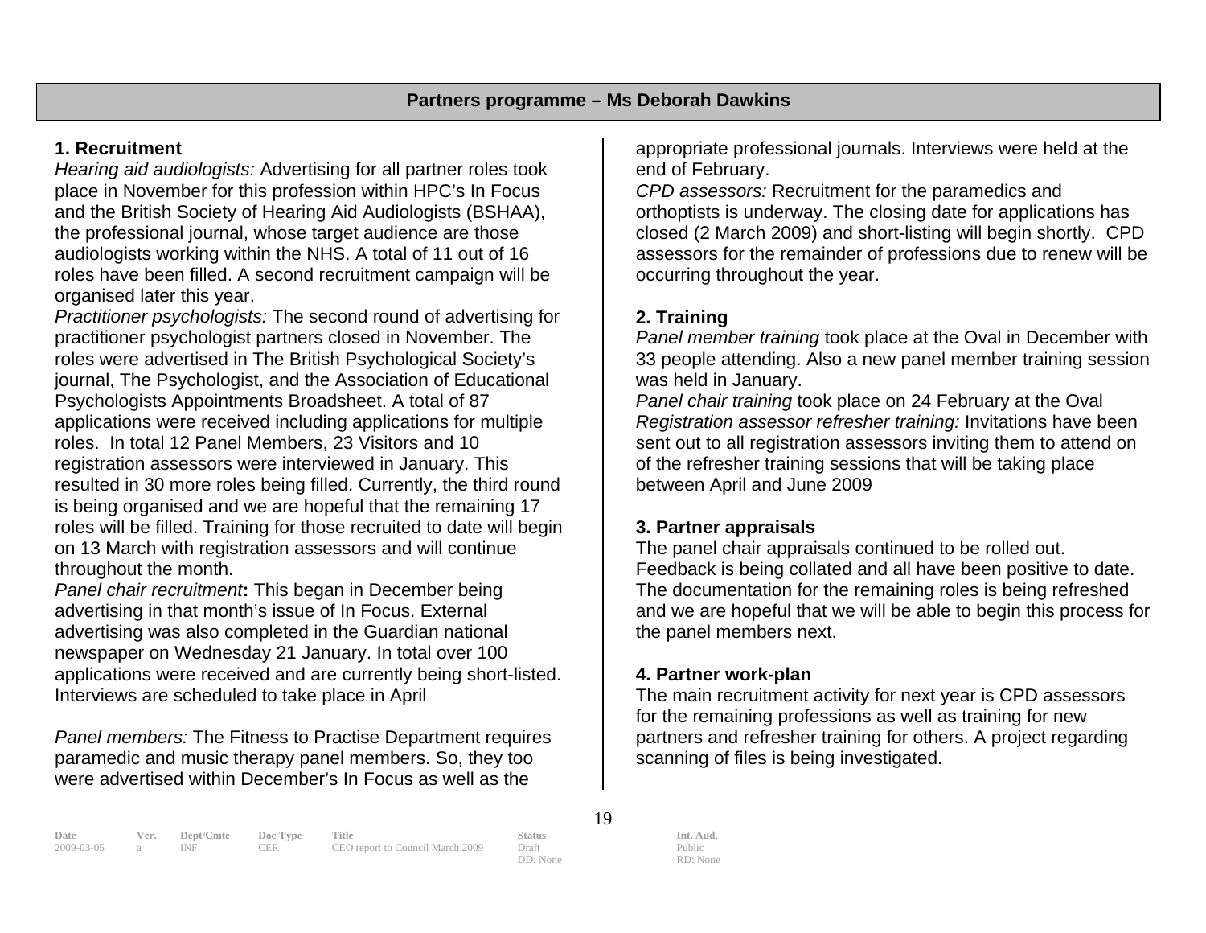### **1. Recruitment**

*Hearing aid audiologists:* Advertising for all partner roles took the professional journal, whose target audience are those roles have been filled. A second recruitment campaign will be organised later this year. place in November for this profession within HPC's In Focus and the British Society of Hearing Aid Audiologists (BSHAA), audiologists working within the NHS. A total of 11 out of 16

*Practitioner psychologists:* The second round of advertising for practitioner psychologist partners closed in November. The roles were advertised in The British Psychological Society's Psychologists Appointments Broadsheet. A total of 87 ap plications were received including applications for multiple registration assessors were interviewed in January. This resulted in 30 more roles being filled. Currently, the third round is being organised and we are hopeful that the remaining 17 roles will be filled. Training for those recruited to date will begin on 13 March with registration assessors and will continue hroughout the month. tjournal, The Psychologist, and the Association of Educational roles. In total 12 Panel Members, 23 Visitors and 10

*anel chair recruitment***:** This began in December being *P*advertising in that month's issue of In Focus. External advertising was also completed in the Guardian national newspaper on Wednesday 21 January. In total over 100 applications were received and are currently being short-listed. nterviews are scheduled to take place in April

**Panel members: The Fitness to Practise Department requires** paramedic and music therapy panel members. So, they too were advertised within December's In Focus as well as the

appropriate professional journals. Interviews were held at the end of February.

*PD assessors:* Recruitment for the paramedics and *C* orthoptists is underway. The closing date for applications has closed (2 March 2009) and short-listing will begin shortly. CPD assessors for the remainder of professions due to renew will be occurring throughout the year.

# **2. Training**

*Panel member training* took place at the Oval in December with 33 people attending. Also a new panel member training session was held in January.

*Panel chair training* took place on 24 February at the Oval *Registration assessor refresher training:* Invitations have been sent out to all registration assessors inviting them to attend on of the refresher training sessions that will be taking place between April and June 2009

# **3. Partner appraisals**

The panel chair appraisals continued to be rolled out. Feedback is being collated and all have been positive to date. The documentation for the remaining roles is being refreshed and we are hopeful that we will be able to begin this process for the panel members next.

#### **4. Partner work-plan**

The main recruitment activity for next year is CPD assessors for the remaining professions as well as training for new partners and refresher training for others. A project regarding scanning of files is being investigated.

**Date Ver. Dept/Cmte Doc Type Title Status Status Int. Aud.** 2009-03-05 a INF CER CEO report to Council March 2009 Draft Public Public 2009-03-05 a INF CER CEO report to Council March 2009 Draft

19

DD: None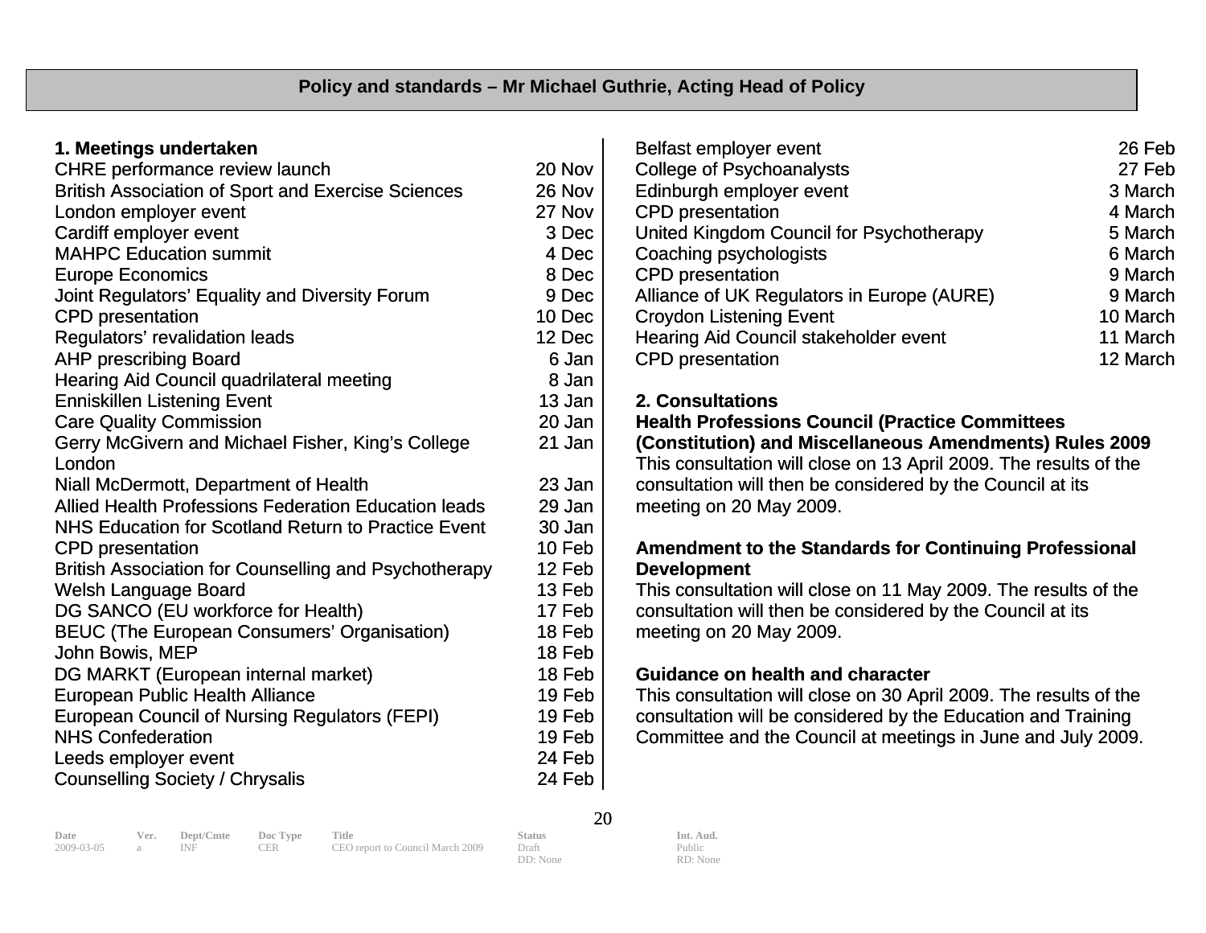| 1. Meetings undertaken                                       |        |
|--------------------------------------------------------------|--------|
| CHRE performance review launch                               | 20 Nov |
| <b>British Association of Sport and Exercise Sciences</b>    | 26 Nov |
| London employer event                                        | 27 Nov |
| Cardiff employer event                                       | 3 Dec  |
| <b>MAHPC Education summit</b>                                | 4 Dec  |
| <b>Europe Economics</b>                                      | 8 Dec  |
| Joint Regulators' Equality and Diversity Forum               | 9 Dec  |
| <b>CPD</b> presentation                                      | 10 Dec |
| Regulators' revalidation leads                               | 12 Dec |
| <b>AHP prescribing Board</b>                                 | 6 Jan  |
| <b>Hearing Aid Council quadrilateral meeting</b>             | 8 Jan  |
| <b>Enniskillen Listening Event</b>                           | 13 Jan |
| <b>Care Quality Commission</b>                               | 20 Jan |
| Gerry McGivern and Michael Fisher, King's College            | 21 Jan |
| London                                                       |        |
| Niall McDermott, Department of Health                        | 23 Jan |
| <b>Allied Health Professions Federation Education leads</b>  | 29 Jan |
| NHS Education for Scotland Return to Practice Event          | 30 Jan |
| <b>CPD</b> presentation                                      | 10 Feb |
| <b>British Association for Counselling and Psychotherapy</b> | 12 Feb |
| <b>Welsh Language Board</b>                                  | 13 Feb |
| DG SANCO (EU workforce for Health)                           | 17 Feb |
| <b>BEUC (The European Consumers' Organisation)</b>           | 18 Feb |
| John Bowis, MEP                                              | 18 Feb |
| DG MARKT (European internal market)                          | 18 Feb |
| <b>European Public Health Alliance</b>                       | 19 Feb |
| <b>European Council of Nursing Regulators (FEPI)</b>         | 19 Feb |
| <b>NHS Confederation</b>                                     | 19 Feb |
| Leeds employer event                                         | 24 Feb |
| <b>Counselling Society / Chrysalis</b>                       | 24 Feb |

| Belfast employer event                       | 26 Feb   |
|----------------------------------------------|----------|
| <b>College of Psychoanalysts</b>             | 27 Feb   |
| Edinburgh employer event                     | 3 March  |
| <b>CPD</b> presentation                      | 4 March  |
| United Kingdom Council for Psychotherapy     | 5 March  |
| Coaching psychologists                       | 6 March  |
| <b>CPD</b> presentation                      | 9 March  |
| Alliance of UK Regulators in Europe (AURE)   | 9 March  |
| <b>Croydon Listening Event</b>               | 10 March |
| <b>Hearing Aid Council stakeholder event</b> | 11 March |
| <b>CPD</b> presentation                      | 12 March |
|                                              |          |

#### **2. Consultations**

#### **Health Professions Council (Practice Committees (Constitution) and Miscellaneous Amendments) Rules 2009**

This consultation will close on 13 April 2009. The results of the consultation will then be considered by the Council at its meeting on 20 May 2009.

# **Amendment to the Standards for Continuing Professional Development**

This consultation will close on 11 May 2009. The results of the consultation will then be considered by the Council at its meeting on 20 May 2009.

# **Guidance on health and character**

This consultation will close on 30 April 2009. The results of the . Committee and the Council at meetings in June and July 2009 consultation will be considered by the Education and Training

20

DD: None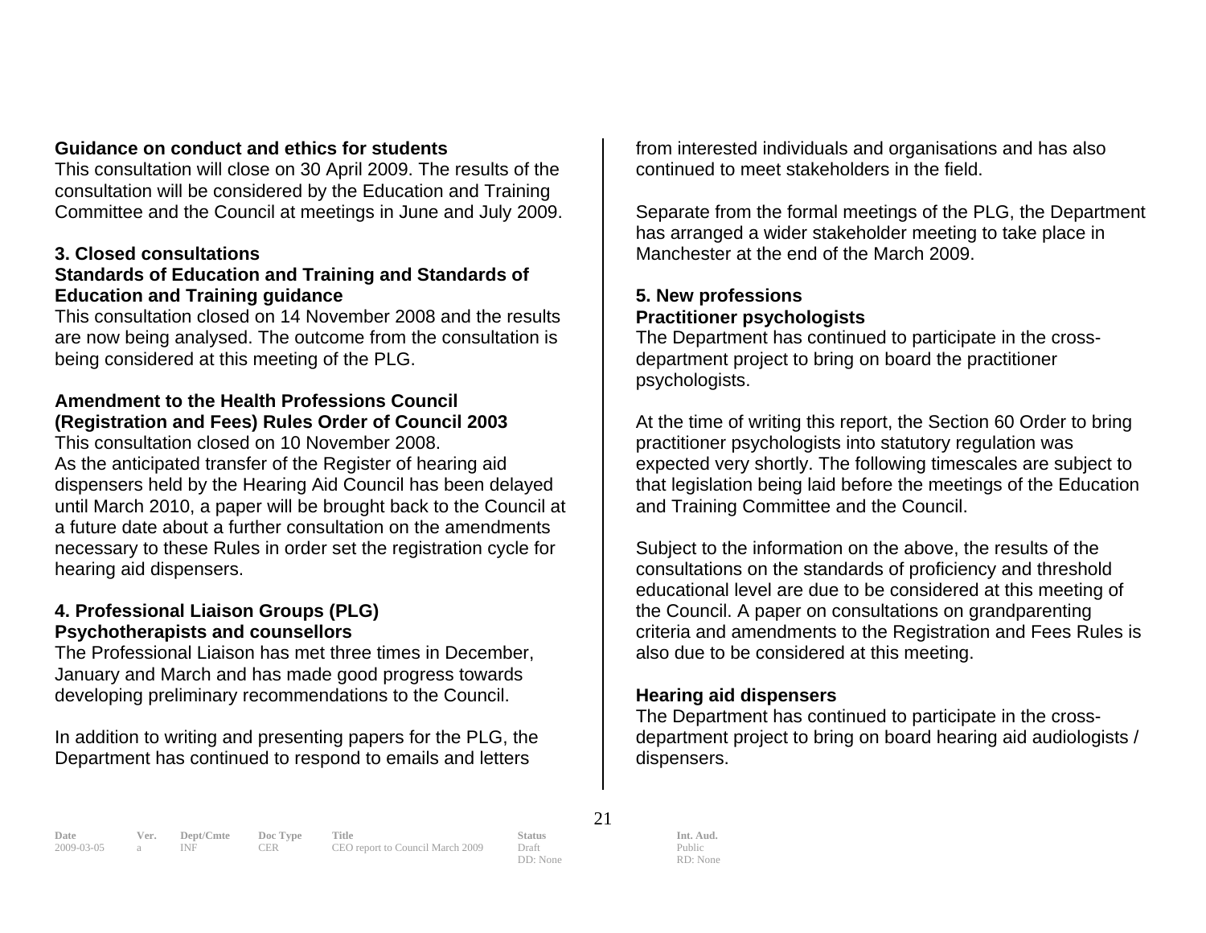#### **d ethics for students Guidance on conduct an**

This consultation will close on 30 April 2009. The results of the consultation will be considered by the Education and Training Committee and the Council at meetings in June and July 2009.

#### **3. Closed consultations**

#### Standards of Education and Training and Standards of **Education and Training guidance**

This consultation closed on 14 November 2008 and the results are now being analysed. The outcome from the consultation is being considered at this meeting of the PLG.

# **ouncil Amendment to the Health Professions C**(Registration and Fees) Rules Order of Council 2003

dispensers held by the Hearing Aid Council has been delayed until March 2010, a paper will be brought back to the Council at a future date about a further consultation on the amendments necessary to these Rules in order set the registration cycle for This consultation closed on 10 November 2008. As the anticipated transfer of the Register of hearing aid hearing aid dispensers.

#### **) 4. Professional Liaison Groups (PLG Psychotherapists and counsellors**

The Professional Liaison has met three times in December, January and March and has made good progress towards developing preliminary recommendations to the Council.

In addition to writing and presenting papers for the PLG, the Department has continued to respond to emails and letters

from interested individuals and organisations and has also continued to meet stakeholders in the field.

Separate from the formal meetings of the PLG, the Department has arranged a wider stakeholder meeting to take place in Manchester at the end of the March 2009.

### **5. New professions Practitioner psychologists**

The Department has continued to participate in the crossdepartment project to bring on board the practitioner psychologists.

At the time of writing this report, the Section 60 Order to bring practitioner psychologists into statutory regulation was expected very shortly. The following timescales are subject to that legislation being laid before the meetings of the Education and Training Committee and the Council.

also due to be considered at this meeting. Subject to the information on the above, the results of the consultations on the standards of proficiency and threshold educational level are due to be considered at this meeting of the Council. A paper on consultations on grandparenting criteria and amendments to the Registration and Fees Rules is

# **Hearing aid dispensers**

The Department has continued to participate in the crossdepartment project to bring on board hearing aid audiologists / dispensers.

**Date Ver. Dept/Cmte Doc Type Title Status Status Int. Aud.**<br>
2009-03-05 a INF CER CEO report to Council March 2009 Draft Public Public CEO report to Council March 2009 Draft

21

DD: None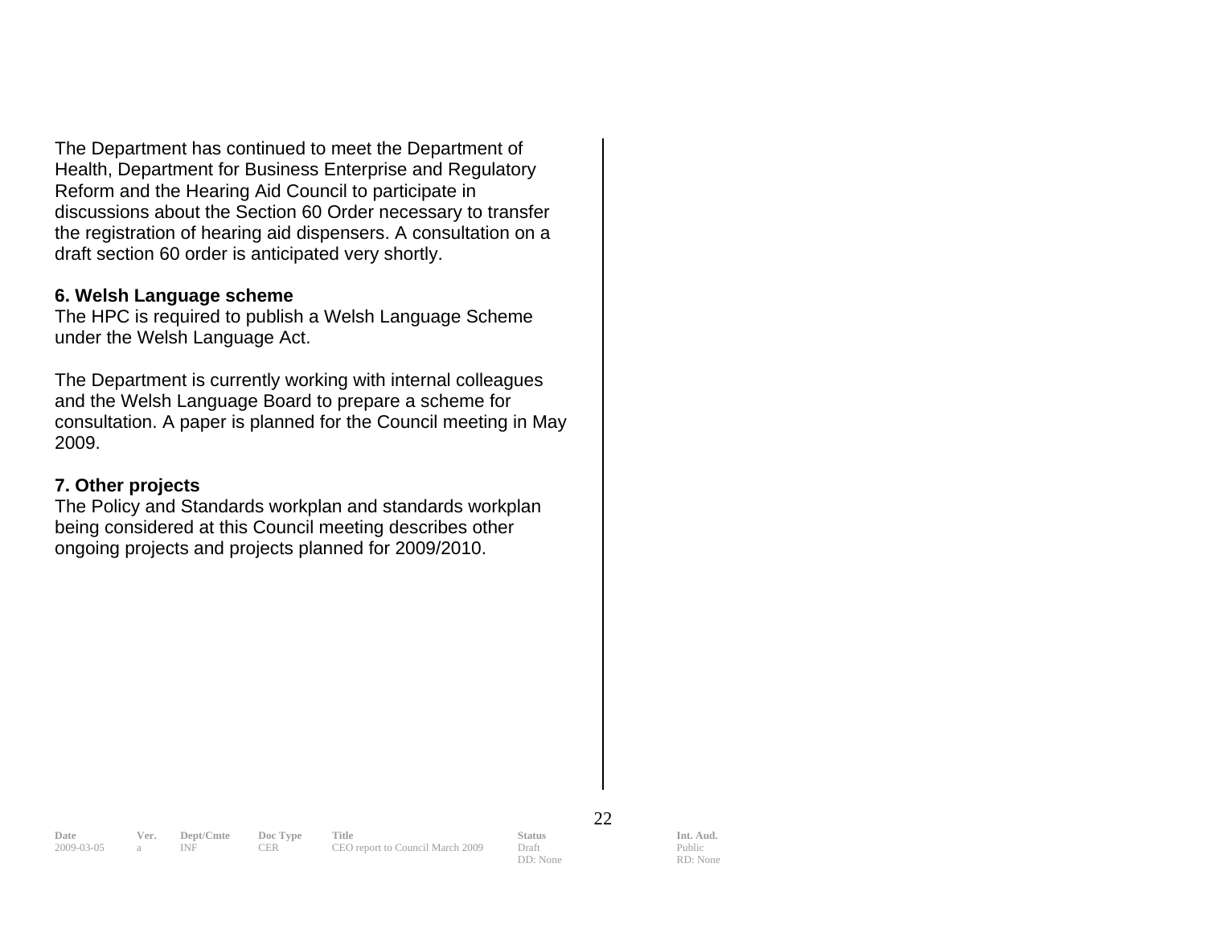The Department has continued to meet the Department of draft section 60 order is anticipated very shortly. Health, Department for Business Enterprise and Regulatory Reform and the Hearing Aid Council to participate in discussions about the Section 60 Order necessary to transfer the registration of hearing aid dispensers. A consultation on a

#### **6. Welsh Language scheme**

The HPC is required to publish a Welsh Language Scheme under the Welsh Language Act.

and the Welsh Language Board to prepare a scheme for consultation. A paper is planned for the Council meeting in May The Department is currently working with internal colleagues 2009.

#### **7. Other projects**

The Policy and Standards workplan and standards workplan being considered at this Council meeting describes other ongoing projects and projects planned for 2009/2010.

22

**Date Ver. Dept/Cmte Doc Type Title Status Status Int. Aud.**<br>
2009-03-05 a INF CER CEO report to Council March 2009 Draft Public Public

CEO report to Council March 2009 Draft DD: None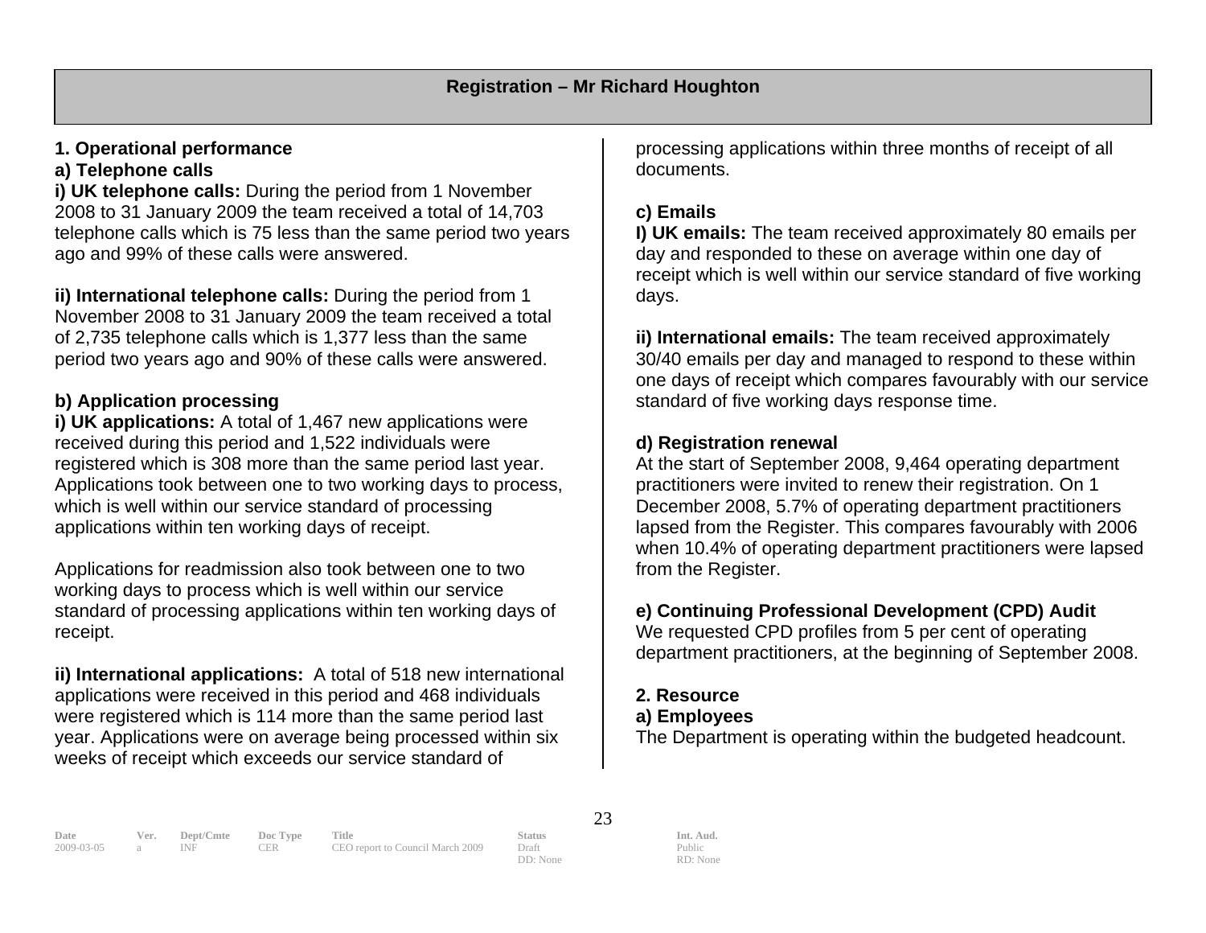# **1. Operational performance**

#### **a) Telephone calls**

telephone calls which is 75 less than the same period two years **i) UK telephone calls:** During the period from 1 November 2008 to 31 January 2009 the team received a total of 14,703 ago and 99% of these calls were answered.

**ii) International telephone calls:** During the period from 1 November 2008 to 31 January 2009 the team received a total period two years ago and 90% of these calls were answered. of 2,735 telephone calls which is 1,377 less than the same

# **b) Application processing**

registered which is 308 more than the same period last year. Applications took between one to two working days to process, **i) UK applications:** A total of 1,467 new applications were received during this period and 1,522 individuals were which is well within our service standard of processing applications within ten working days of receipt.

working days to process which is well within our service tandard of processing applications within ten working days of seceipt. r Applications for readmission also took between one to two

**) International applications:** A total of 518 new international **ii** applications were received in this period and 468 individuals were registered which is 114 more than the same period last year. Applications were on average being processed within six weeks of receipt which exceeds our service standard of

rocessing applications within three months of receipt of all p documents.

# **c) Emails**

**I) UK emails:** The team received approximately 80 emails per day and responded to these on average within one day of receipt which is well within our service standard of five working days.

**ii) International emails:** The team received approximately 30/40 emails per day and managed to respond to these within one days of receipt which compares favourably with our service standard of five working days response time.

# **d) Registration renewal**

At the start of September 2008, 9,464 operating department practitioners were invited to renew their registration. On 1 December 2008, 5.7% of operating department practitioners lapsed from the Register. This compares favourably with 2006 when 10.4% of operating department practitioners were lapsed from the Register.

# **e) Continuing Professional Development (CPD) Audit**

We requested CPD profiles from 5 per cent of operating department practitioners, at the beginning of September 2008.

# **2. Resource**

# **a) Employees**

The Department is operating within the budgeted headcount.

**Date Ver. Dept/Cmte Doc Type Title Status Status Int. Aud.** 2009-03-05 a INF CER CEO report to Council March 2009 Draft Public Public 2009-03-05 a INF CER CEO report to Council March 2009 Draft

23

DD: None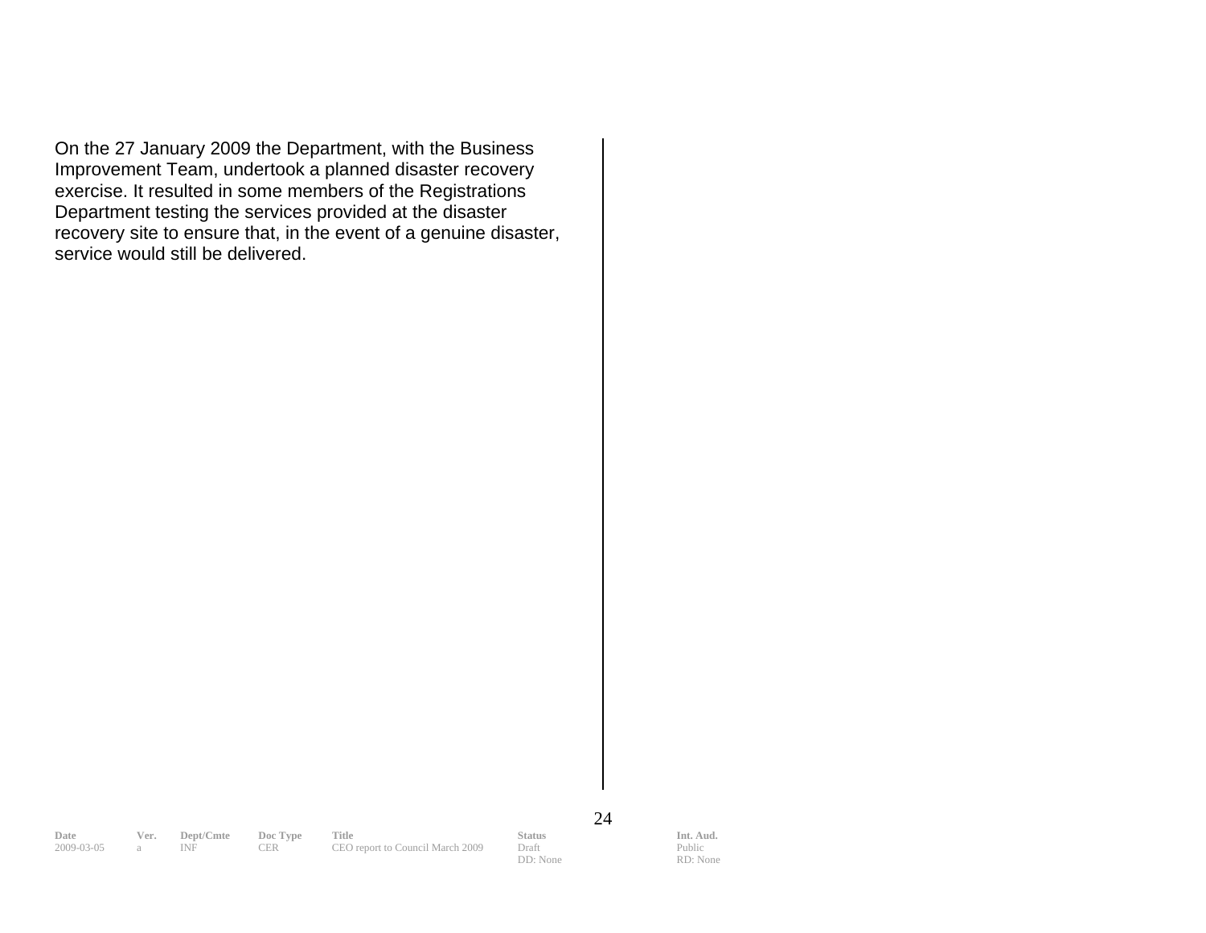On the 27 January 2009 the Department, with the Business Improvement Team, undertook a planned disaster recovery exercise. It resulted in some members of the Registrations Department testing the services provided at the disaster recovery site to ensure that, in the event of a genuine disaster, service would still be delivered.

24

**Date Ver. Dept/Cmte Doc Type Title Status Status Int. Aud.** 2009-03-05 a INF CER CEO report to Council March 2009 Draft Public Public 2009 a INF CER CEO report to Council March 2009

DD: None